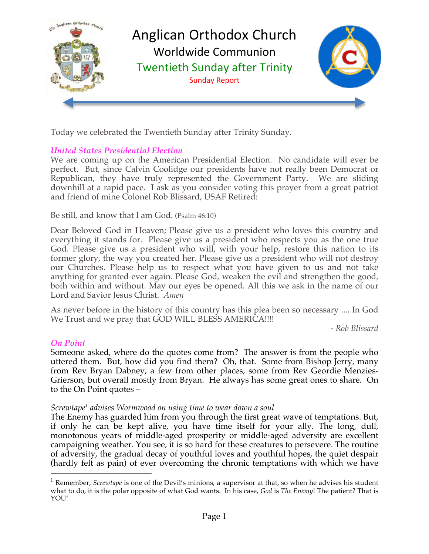

Today we celebrated the Twentieth Sunday after Trinity Sunday.

### *United States Presidential Election*

We are coming up on the American Presidential Election. No candidate will ever be perfect. But, since Calvin Coolidge our presidents have not really been Democrat or Republican, they have truly represented the Government Party. We are sliding downhill at a rapid pace. I ask as you consider voting this prayer from a great patriot and friend of mine Colonel Rob Blissard, USAF Retired:

Be still, and know that I am God. (Psalm 46:10)

Dear Beloved God in Heaven; Please give us a president who loves this country and everything it stands for. Please give us a president who respects you as the one true God. Please give us a president who will, with your help, restore this nation to its former glory, the way you created her. Please give us a president who will not destroy our Churches. Please help us to respect what you have given to us and not take anything for granted ever again. Please God, weaken the evil and strengthen the good, both within and without. May our eyes be opened. All this we ask in the name of our Lord and Savior Jesus Christ. *Amen*

As never before in the history of this country has this plea been so necessary .... In God We Trust and we pray that GOD WILL BLESS AMERICA!!!!

*- Rob Blissard*

### *On Point*

Someone asked, where do the quotes come from? The answer is from the people who uttered them. But, how did you find them? Oh, that. Some from Bishop Jerry, many from Rev Bryan Dabney, a few from other places, some from Rev Geordie Menzies-Grierson, but overall mostly from Bryan. He always has some great ones to share. On to the On Point quotes –

### *Screwtape1 advises Wormwood on using time to wear down a soul*

The Enemy has guarded him from you through the first great wave of temptations. But, if only he can be kept alive, you have time itself for your ally. The long, dull, monotonous years of middle-aged prosperity or middle-aged adversity are excellent campaigning weather. You see, it is so hard for these creatures to persevere. The routine of adversity, the gradual decay of youthful loves and youthful hopes, the quiet despair (hardly felt as pain) of ever overcoming the chronic temptations with which we have

<sup>&</sup>lt;sup>1</sup> Remember, *Screwtape* is one of the Devil's minions, a supervisor at that, so when he advises his student what to do, it is the polar opposite of what God wants. In his case, *God* is *The Enemy*! The patient? That is YOU!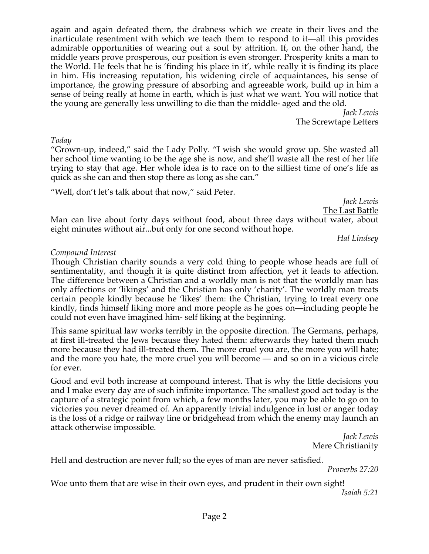again and again defeated them, the drabness which we create in their lives and the inarticulate resentment with which we teach them to respond to it—all this provides admirable opportunities of wearing out a soul by attrition. If, on the other hand, the middle years prove prosperous, our position is even stronger. Prosperity knits a man to the World. He feels that he is 'finding his place in it', while really it is finding its place in him. His increasing reputation, his widening circle of acquaintances, his sense of importance, the growing pressure of absorbing and agreeable work, build up in him a sense of being really at home in earth, which is just what we want. You will notice that the young are generally less unwilling to die than the middle- aged and the old.

*Jack Lewis* The Screwtape Letters

*Today*

"Grown-up, indeed," said the Lady Polly. "I wish she would grow up. She wasted all her school time wanting to be the age she is now, and she'll waste all the rest of her life trying to stay that age. Her whole idea is to race on to the silliest time of one's life as quick as she can and then stop there as long as she can."

"Well, don't let's talk about that now," said Peter.

*Jack Lewis* The Last Battle

Man can live about forty days without food, about three days without water, about eight minutes without air...but only for one second without hope.

*Hal Lindsey*

# *Compound Interest*

Though Christian charity sounds a very cold thing to people whose heads are full of sentimentality, and though it is quite distinct from affection, yet it leads to affection. The difference between a Christian and a worldly man is not that the worldly man has only affections or 'likings' and the Christian has only 'charity'. The worldly man treats certain people kindly because he 'likes' them: the Christian, trying to treat every one kindly, finds himself liking more and more people as he goes on—including people he could not even have imagined him- self liking at the beginning.

This same spiritual law works terribly in the opposite direction. The Germans, perhaps, at first ill-treated the Jews because they hated them: afterwards they hated them much more because they had ill-treated them. The more cruel you are, the more you will hate; and the more you hate, the more cruel you will become — and so on in a vicious circle for ever.

Good and evil both increase at compound interest. That is why the little decisions you and I make every day are of such infinite importance. The smallest good act today is the capture of a strategic point from which, a few months later, you may be able to go on to victories you never dreamed of. An apparently trivial indulgence in lust or anger today is the loss of a ridge or railway line or bridgehead from which the enemy may launch an attack otherwise impossible.

*Jack Lewis* Mere Christianity

Hell and destruction are never full; so the eyes of man are never satisfied.

*Proverbs 27:20*

Woe unto them that are wise in their own eyes, and prudent in their own sight! *Isaiah 5:21*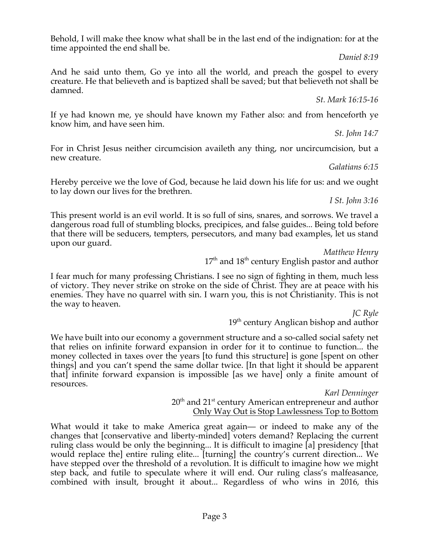Page 3

Behold, I will make thee know what shall be in the last end of the indignation: for at the time appointed the end shall be.

*Daniel 8:19*

And he said unto them, Go ye into all the world, and preach the gospel to every creature. He that believeth and is baptized shall be saved; but that believeth not shall be damned.

*St. Mark 16:15-16*

If ye had known me, ye should have known my Father also: and from henceforth ye know him, and have seen him.

*St. John 14:7*

For in Christ Jesus neither circumcision availeth any thing, nor uncircumcision, but a new creature.

*Galatians 6:15*

Hereby perceive we the love of God, because he laid down his life for us: and we ought to lay down our lives for the brethren.

*I St. John 3:16*

This present world is an evil world. It is so full of sins, snares, and sorrows. We travel a dangerous road full of stumbling blocks, precipices, and false guides... Being told before that there will be seducers, tempters, persecutors, and many bad examples, let us stand upon our guard.

*Matthew Henry* 17<sup>th</sup> and 18<sup>th</sup> century English pastor and author

I fear much for many professing Christians. I see no sign of fighting in them, much less of victory. They never strike on stroke on the side of Christ. They are at peace with his enemies. They have no quarrel with sin. I warn you, this is not Christianity. This is not the way to heaven.

> *JC Ryle* 19<sup>th</sup> century Anglican bishop and author

We have built into our economy a government structure and a so-called social safety net that relies on infinite forward expansion in order for it to continue to function... the money collected in taxes over the years [to fund this structure] is gone [spent on other things] and you can't spend the same dollar twice. [In that light it should be apparent that] infinite forward expansion is impossible [as we have] only a finite amount of resources.

> *Karl Denninger* 20<sup>th</sup> and 21<sup>st</sup> century American entrepreneur and author Only Way Out is Stop Lawlessness Top to Bottom

What would it take to make America great again— or indeed to make any of the changes that [conservative and liberty-minded] voters demand? Replacing the current ruling class would be only the beginning... It is difficult to imagine [a] presidency [that would replace the] entire ruling elite... [turning] the country's current direction... We have stepped over the threshold of a revolution. It is difficult to imagine how we might step back, and futile to speculate where it will end. Our ruling class's malfeasance, combined with insult, brought it about... Regardless of who wins in 2016, this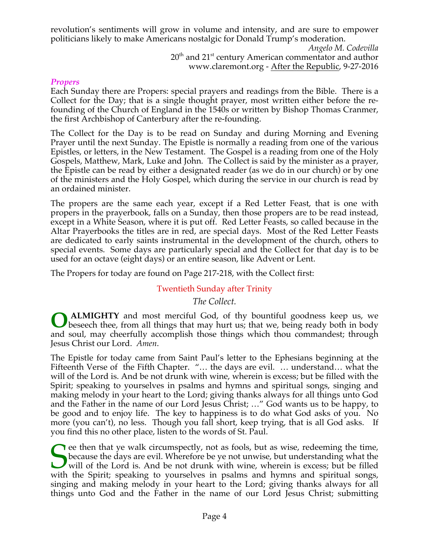revolution's sentiments will grow in volume and intensity, and are sure to empower politicians likely to make Americans nostalgic for Donald Trump's moderation.

> *Angelo M. Codevilla*  $20<sup>th</sup>$  and  $21<sup>st</sup>$  century American commentator and author www.claremont.org - After the Republic, 9-27-2016

### *Propers*

Each Sunday there are Propers: special prayers and readings from the Bible. There is a Collect for the Day; that is a single thought prayer, most written either before the refounding of the Church of England in the 1540s or written by Bishop Thomas Cranmer, the first Archbishop of Canterbury after the re-founding.

The Collect for the Day is to be read on Sunday and during Morning and Evening Prayer until the next Sunday. The Epistle is normally a reading from one of the various Epistles, or letters, in the New Testament. The Gospel is a reading from one of the Holy Gospels, Matthew, Mark, Luke and John. The Collect is said by the minister as a prayer, the Epistle can be read by either a designated reader (as we do in our church) or by one of the ministers and the Holy Gospel, which during the service in our church is read by an ordained minister.

The propers are the same each year, except if a Red Letter Feast, that is one with propers in the prayerbook, falls on a Sunday, then those propers are to be read instead, except in a White Season, where it is put off. Red Letter Feasts, so called because in the Altar Prayerbooks the titles are in red, are special days. Most of the Red Letter Feasts are dedicated to early saints instrumental in the development of the church, others to special events. Some days are particularly special and the Collect for that day is to be used for an octave (eight days) or an entire season, like Advent or Lent.

The Propers for today are found on Page 217-218, with the Collect first:

# Twentieth Sunday after Trinity

*The Collect.*

**ALMIGHTY** and most merciful God, of thy bountiful goodness keep us, we beseech thee, from all things that may hurt us; that we, being ready both in body and soul, may cheerfully accomplish those things which thou commandest; through Jesus Christ our Lord. *Amen*. **O**

The Epistle for today came from Saint Paul's letter to the Ephesians beginning at the Fifteenth Verse of the Fifth Chapter. "… the days are evil. … understand… what the will of the Lord is. And be not drunk with wine, wherein is excess; but be filled with the Spirit; speaking to yourselves in psalms and hymns and spiritual songs, singing and making melody in your heart to the Lord; giving thanks always for all things unto God and the Father in the name of our Lord Jesus Christ; …" God wants us to be happy, to be good and to enjoy life. The key to happiness is to do what God asks of you. No more (you can't), no less. Though you fall short, keep trying, that is all God asks. If you find this no other place, listen to the words of St. Paul.

 $\bigcap$  ee then that ye walk circumspectly, not as fools, but as wise, redeeming the time, because the days are evil. Wherefore be ye not unwise, but understanding what the will of the Lord is. And be not drunk with wine, wherein is excess; but be filled with the Spirit; speaking to yourselves in psalms and hymns and spiritual songs, singing and making melody in your heart to the Lord; giving thanks always for all things unto God and the Father in the name of our Lord Jesus Christ; submitting S<sub>with</sub>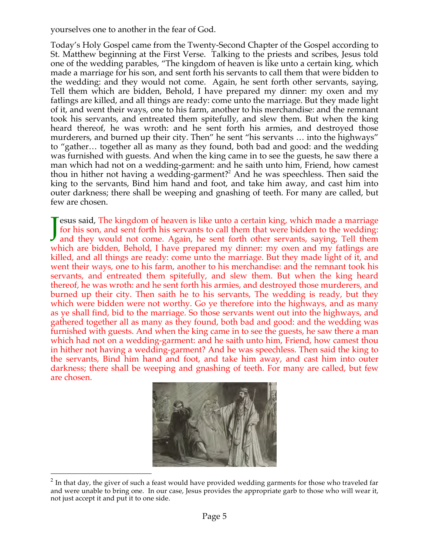yourselves one to another in the fear of God.

Today's Holy Gospel came from the Twenty-Second Chapter of the Gospel according to St. Matthew beginning at the First Verse. Talking to the priests and scribes, Jesus told one of the wedding parables, "The kingdom of heaven is like unto a certain king, which made a marriage for his son, and sent forth his servants to call them that were bidden to the wedding: and they would not come. Again, he sent forth other servants, saying, Tell them which are bidden, Behold, I have prepared my dinner: my oxen and my fatlings are killed, and all things are ready: come unto the marriage. But they made light of it, and went their ways, one to his farm, another to his merchandise: and the remnant took his servants, and entreated them spitefully, and slew them. But when the king heard thereof, he was wroth: and he sent forth his armies, and destroyed those murderers, and burned up their city. Then" he sent "his servants … into the highways" to "gather… together all as many as they found, both bad and good: and the wedding was furnished with guests. And when the king came in to see the guests, he saw there a man which had not on a wedding-garment: and he saith unto him, Friend, how camest thou in hither not having a wedding-garment?<sup>2</sup> And he was speechless. Then said the king to the servants, Bind him hand and foot, and take him away, and cast him into outer darkness; there shall be weeping and gnashing of teeth. For many are called, but few are chosen.

esus said, The kingdom of heaven is like unto a certain king, which made a marriage for his son, and sent forth his servants to call them that were bidden to the wedding: Jesus said, The kingdom of heaven is like unto a certain king, which made a marriage for his son, and sent forth his servants to call them that were bidden to the wedding: and they would not come. Again, he sent forth othe which are bidden, Behold, I have prepared my dinner: my oxen and my fatlings are killed, and all things are ready: come unto the marriage. But they made light of it, and went their ways, one to his farm, another to his merchandise: and the remnant took his servants, and entreated them spitefully, and slew them. But when the king heard thereof, he was wroth: and he sent forth his armies, and destroyed those murderers, and burned up their city. Then saith he to his servants, The wedding is ready, but they which were bidden were not worthy. Go ye therefore into the highways, and as many as ye shall find, bid to the marriage. So those servants went out into the highways, and gathered together all as many as they found, both bad and good: and the wedding was furnished with guests. And when the king came in to see the guests, he saw there a man which had not on a wedding-garment: and he saith unto him, Friend, how camest thou in hither not having a wedding-garment? And he was speechless. Then said the king to the servants, Bind him hand and foot, and take him away, and cast him into outer darkness; there shall be weeping and gnashing of teeth. For many are called, but few are chosen.



 $2^2$  In that day, the giver of such a feast would have provided wedding garments for those who traveled far and were unable to bring one. In our case, Jesus provides the appropriate garb to those who will wear it, not just accept it and put it to one side.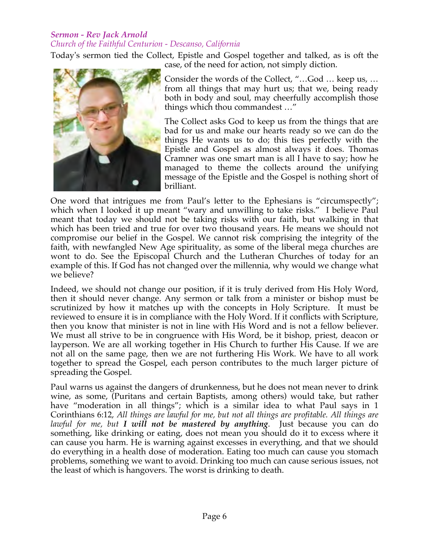### *Sermon - Rev Jack Arnold Church of the Faithful Centurion - Descanso, California*

Today's sermon tied the Collect, Epistle and Gospel together and talked, as is oft the case, of the need for action, not simply diction.



Consider the words of the Collect, "…God … keep us, … from all things that may hurt us; that we, being ready both in body and soul, may cheerfully accomplish those things which thou commandest …"

The Collect asks God to keep us from the things that are bad for us and make our hearts ready so we can do the things He wants us to do; this ties perfectly with the Epistle and Gospel as almost always it does. Thomas Cramner was one smart man is all I have to say; how he managed to theme the collects around the unifying message of the Epistle and the Gospel is nothing short of brilliant.

One word that intrigues me from Paul's letter to the Ephesians is "circumspectly"; which when I looked it up meant "wary and unwilling to take risks." I believe Paul meant that today we should not be taking risks with our faith, but walking in that which has been tried and true for over two thousand years. He means we should not compromise our belief in the Gospel. We cannot risk comprising the integrity of the faith, with newfangled New Age spirituality, as some of the liberal mega churches are wont to do. See the Episcopal Church and the Lutheran Churches of today for an example of this. If God has not changed over the millennia, why would we change what we believe?

Indeed, we should not change our position, if it is truly derived from His Holy Word, then it should never change. Any sermon or talk from a minister or bishop must be scrutinized by how it matches up with the concepts in Holy Scripture. It must be reviewed to ensure it is in compliance with the Holy Word. If it conflicts with Scripture, then you know that minister is not in line with His Word and is not a fellow believer. We must all strive to be in congruence with His Word, be it bishop, priest, deacon or layperson. We are all working together in His Church to further His Cause. If we are not all on the same page, then we are not furthering His Work. We have to all work together to spread the Gospel, each person contributes to the much larger picture of spreading the Gospel.

Paul warns us against the dangers of drunkenness, but he does not mean never to drink wine, as some, (Puritans and certain Baptists, among others) would take, but rather have "moderation in all things"; which is a similar idea to what Paul says in 1 Corinthians 6:12, *All things are lawful for me, but not all things are profitable. All things are lawful for me, but I will not be mastered by anything*. Just because you can do something, like drinking or eating, does not mean you should do it to excess where it can cause you harm. He is warning against excesses in everything, and that we should do everything in a health dose of moderation. Eating too much can cause you stomach problems, something we want to avoid. Drinking too much can cause serious issues, not the least of which is hangovers. The worst is drinking to death.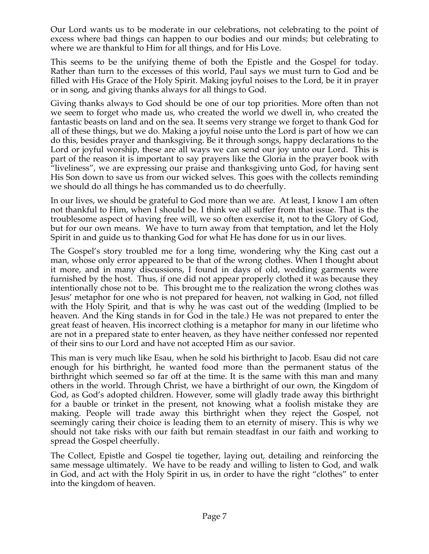Our Lord wants us to be moderate in our celebrations, not celebrating to the point of excess where bad things can happen to our bodies and our minds; but celebrating to where we are thankful to Him for all things, and for His Love.

This seems to be the unifying theme of both the Epistle and the Gospel for today. Rather than turn to the excesses of this world, Paul says we must turn to God and be filled with His Grace of the Holy Spirit. Making joyful noises to the Lord, be it in prayer or in song, and giving thanks always for all things to God.

Giving thanks always to God should be one of our top priorities. More often than not we seem to forget who made us, who created the world we dwell in, who created the fantastic beasts on land and on the sea. It seems very strange we forget to thank God for all of these things, but we do. Making a joyful noise unto the Lord is part of how we can do this, besides prayer and thanksgiving. Be it through songs, happy declarations to the Lord or joyful worship, these are all ways we can send our joy unto our Lord. This is part of the reason it is important to say prayers like the Gloria in the prayer book with "liveliness", we are expressing our praise and thanksgiving unto God, for having sent His Son down to save us from our wicked selves. This goes with the collects reminding we should do all things he has commanded us to do cheerfully.

In our lives, we should be grateful to God more than we are. At least, I know I am often not thankful to Him, when I should be. I think we all suffer from that issue. That is the troublesome aspect of having free will, we so often exercise it, not to the Glory of God, but for our own means. We have to turn away from that temptation, and let the Holy Spirit in and guide us to thanking God for what He has done for us in our lives.

The Gospel's story troubled me for a long time, wondering why the King cast out a man, whose only error appeared to be that of the wrong clothes. When I thought about it more, and in many discussions, I found in days of old, wedding garments were furnished by the host. Thus, if one did not appear properly clothed it was because they intentionally chose not to be. This brought me to the realization the wrong clothes was Jesus' metaphor for one who is not prepared for heaven, not walking in God, not filled with the Holy Spirit, and that is why he was cast out of the wedding (Implied to be heaven. And the King stands in for God in the tale.) He was not prepared to enter the great feast of heaven. His incorrect clothing is a metaphor for many in our lifetime who are not in a prepared state to enter heaven, as they have neither confessed nor repented of their sins to our Lord and have not accepted Him as our savior.

This man is very much like Esau, when he sold his birthright to Jacob. Esau did not care enough for his birthright, he wanted food more than the permanent status of the birthright which seemed so far off at the time. It is the same with this man and many others in the world. Through Christ, we have a birthright of our own, the Kingdom of God, as God's adopted children. However, some will gladly trade away this birthright for a bauble or trinket in the present, not knowing what a foolish mistake they are making. People will trade away this birthright when they reject the Gospel, not seemingly caring their choice is leading them to an eternity of misery. This is why we should not take risks with our faith but remain steadfast in our faith and working to spread the Gospel cheerfully.

The Collect, Epistle and Gospel tie together, laying out, detailing and reinforcing the same message ultimately. We have to be ready and willing to listen to God, and walk in God, and act with the Holy Spirit in us, in order to have the right "clothes" to enter into the kingdom of heaven.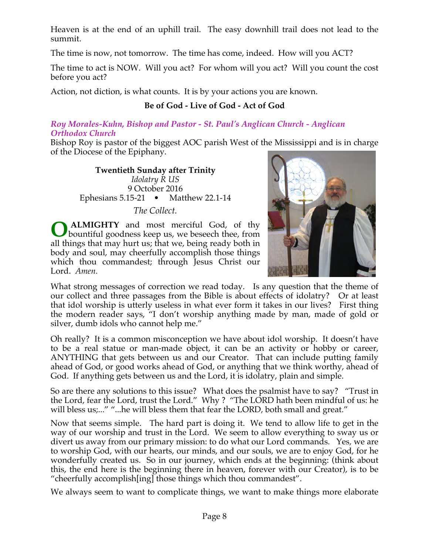Heaven is at the end of an uphill trail. The easy downhill trail does not lead to the summit.

The time is now, not tomorrow. The time has come, indeed. How will you ACT?

The time to act is NOW. Will you act? For whom will you act? Will you count the cost before you act?

Action, not diction, is what counts. It is by your actions you are known.

# **Be of God - Live of God - Act of God**

### *Roy Morales-Kuhn, Bishop and Pastor - St. Paul's Anglican Church - Anglican Orthodox Church*

Bishop Roy is pastor of the biggest AOC parish West of the Mississippi and is in charge of the Diocese of the Epiphany.

**Twentieth Sunday after Trinity** *Idolatry R US*  9 October 2016 Ephesians 5.15-21 • Matthew 22.1-14 *The Collect.*

**ALMIGHTY** and most merciful God, of thy bountiful goodness keep us, we beseech thee, from all things that may hurt us; that we, being ready both in body and soul, may cheerfully accomplish those things which thou commandest; through Jesus Christ our Lord. *Amen*. **O**



What strong messages of correction we read today. Is any question that the theme of our collect and three passages from the Bible is about effects of idolatry? Or at least that idol worship is utterly useless in what ever form it takes in our lives? First thing the modern reader says, "I don't worship anything made by man, made of gold or silver, dumb idols who cannot help me."

Oh really? It is a common misconception we have about idol worship. It doesn't have to be a real statue or man-made object, it can be an activity or hobby or career, ANYTHING that gets between us and our Creator. That can include putting family ahead of God, or good works ahead of God, or anything that we think worthy, ahead of God. If anything gets between us and the Lord, it is idolatry, plain and simple.

So are there any solutions to this issue? What does the psalmist have to say? "Trust in the Lord, fear the Lord, trust the Lord." Why ? "The LORD hath been mindful of us: he will bless us;..." "...he will bless them that fear the LORD, both small and great."

Now that seems simple. The hard part is doing it. We tend to allow life to get in the way of our worship and trust in the Lord. We seem to allow everything to sway us or divert us away from our primary mission: to do what our Lord commands. Yes, we are to worship God, with our hearts, our minds, and our souls, we are to enjoy God, for he wonderfully created us. So in our journey, which ends at the beginning: (think about this, the end here is the beginning there in heaven, forever with our Creator), is to be "cheerfully accomplish[ing] those things which thou commandest".

We always seem to want to complicate things, we want to make things more elaborate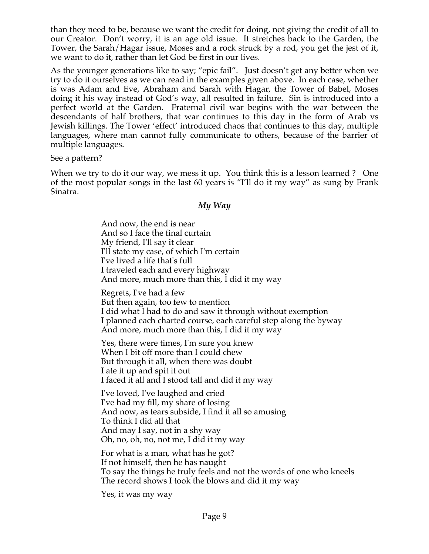than they need to be, because we want the credit for doing, not giving the credit of all to our Creator. Don't worry, it is an age old issue. It stretches back to the Garden, the Tower, the Sarah/Hagar issue, Moses and a rock struck by a rod, you get the jest of it, we want to do it, rather than let God be first in our lives.

As the younger generations like to say; "epic fail". Just doesn't get any better when we try to do it ourselves as we can read in the examples given above. In each case, whether is was Adam and Eve, Abraham and Sarah with Hagar, the Tower of Babel, Moses doing it his way instead of God's way, all resulted in failure. Sin is introduced into a perfect world at the Garden. Fraternal civil war begins with the war between the descendants of half brothers, that war continues to this day in the form of Arab vs Jewish killings. The Tower 'effect' introduced chaos that continues to this day, multiple languages, where man cannot fully communicate to others, because of the barrier of multiple languages.

See a pattern?

When we try to do it our way, we mess it up. You think this is a lesson learned ? One of the most popular songs in the last 60 years is "I'll do it my way" as sung by Frank Sinatra.

### *My Way*

And now, the end is near And so I face the final curtain My friend, I'll say it clear I'll state my case, of which I'm certain I've lived a life that's full I traveled each and every highway And more, much more than this, I did it my way

Regrets, I've had a few But then again, too few to mention I did what I had to do and saw it through without exemption I planned each charted course, each careful step along the byway And more, much more than this, I did it my way

Yes, there were times, I'm sure you knew When I bit off more than I could chew But through it all, when there was doubt I ate it up and spit it out I faced it all and I stood tall and did it my way

I've loved, I've laughed and cried I've had my fill, my share of losing And now, as tears subside, I find it all so amusing To think I did all that And may I say, not in a shy way Oh, no, oh, no, not me, I did it my way

For what is a man, what has he got? If not himself, then he has naught To say the things he truly feels and not the words of one who kneels The record shows I took the blows and did it my way

Yes, it was my way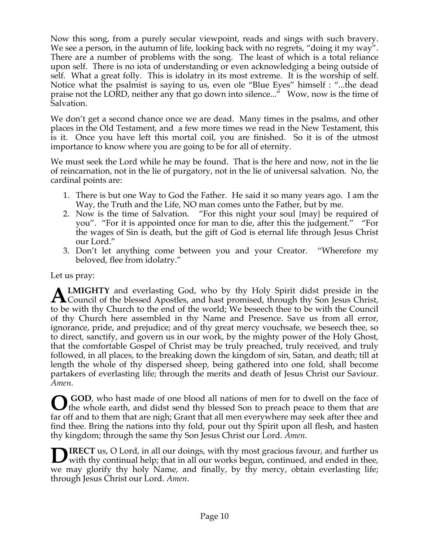Now this song, from a purely secular viewpoint, reads and sings with such bravery. We see a person, in the autumn of life, looking back with no regrets, "doing it my way". There are a number of problems with the song. The least of which is a total reliance upon self. There is no iota of understanding or even acknowledging a being outside of self. What a great folly. This is idolatry in its most extreme. It is the worship of self. Notice what the psalmist is saying to us, even ole "Blue Eyes" himself : "...the dead praise not the LORD, neither any that go down into silence..." Wow, now is the time of Salvation.

We don't get a second chance once we are dead. Many times in the psalms, and other places in the Old Testament, and a few more times we read in the New Testament, this is it. Once you have left this mortal coil, you are finished. So it is of the utmost importance to know where you are going to be for all of eternity.

We must seek the Lord while he may be found. That is the here and now, not in the lie of reincarnation, not in the lie of purgatory, not in the lie of universal salvation. No, the cardinal points are:

- 1. There is but one Way to God the Father. He said it so many years ago. I am the Way, the Truth and the Life, NO man comes unto the Father, but by me.
- 2. Now is the time of Salvation. "For this night your soul {may} be required of you". "For it is appointed once for man to die, after this the judgement." "For the wages of Sin is death, but the gift of God is eternal life through Jesus Christ our Lord."
- 3. Don't let anything come between you and your Creator. "Wherefore my beloved, flee from idolatry."

Let us pray:

**LMIGHTY** and everlasting God, who by thy Holy Spirit didst preside in the **ALMIGHTY** and everlasting God, who by thy Holy Spirit didst preside in the Council of the blessed Apostles, and hast promised, through thy Son Jesus Christ, to be with thy Church to the end of the world; We beseech thee to be with the Council of thy Church here assembled in thy Name and Presence. Save us from all error, ignorance, pride, and prejudice; and of thy great mercy vouchsafe, we beseech thee, so to direct, sanctify, and govern us in our work, by the mighty power of the Holy Ghost, that the comfortable Gospel of Christ may be truly preached, truly received, and truly followed, in all places, to the breaking down the kingdom of sin, Satan, and death; till at length the whole of thy dispersed sheep, being gathered into one fold, shall become partakers of everlasting life; through the merits and death of Jesus Christ our Saviour. *Amen*.

**GOD**, who hast made of one blood all nations of men for to dwell on the face of **O** GOD, who hast made of one blood all nations of men for to dwell on the face of them whole earth, and didst send thy blessed Son to preach peace to them that are far off and to them that are nigh; Grant that all men everywhere may seek after thee and find thee. Bring the nations into thy fold, pour out thy Spirit upon all flesh, and hasten thy kingdom; through the same thy Son Jesus Christ our Lord. *Amen*.

**IRECT** us, O Lord, in all our doings, with thy most gracious favour, and further us **DIRECT** us, O Lord, in all our doings, with thy most gracious favour, and further us with thy continual help; that in all our works begun, continued, and ended in thee, we may glorify thy holy Name, and finally, by thy mercy, obtain everlasting life; through Jesus Christ our Lord. *Amen*.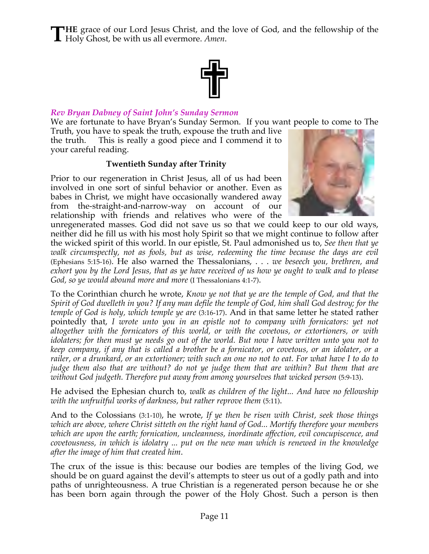**HE** grace of our Lord Jesus Christ, and the love of God, and the fellowship of the **THE** grace of our Lord Jesus Christ, and the Holy Ghost, be with us all evermore. Amen.



### *Rev Bryan Dabney of Saint John's Sunday Sermon*

We are fortunate to have Bryan's Sunday Sermon. If you want people to come to The

Truth, you have to speak the truth, expouse the truth and live the truth. This is really a good piece and I commend it to your careful reading.

### **Twentieth Sunday after Trinity**

Prior to our regeneration in Christ Jesus, all of us had been involved in one sort of sinful behavior or another. Even as babes in Christ, we might have occasionally wandered away from the-straight-and-narrow-way on account of our relationship with friends and relatives who were of the



unregenerated masses. God did not save us so that we could keep to our old ways, neither did he fill us with his most holy Spirit so that we might continue to follow after the wicked spirit of this world. In our epistle, St. Paul admonished us to, *See then that ye walk circumspectly, not as fools, but as wise, redeeming the time because the days are evil* (Ephesians 5:15-16). He also warned the Thessalonians, . . . *we beseech you, brethren, and exhort you by the Lord Jesus, that as ye have received of us how ye ought to walk and to please God, so ye would abound more and more* (I Thessalonians 4:1-7).

To the Corinthian church he wrote, *Know ye not that ye are the temple of God, and that the Spirit of God dwelleth in you? If any man defile the temple of God, him shall God destroy; for the temple of God is holy, which temple ye are* (3:16-17). And in that same letter he stated rather pointedly that, *I wrote unto you in an epistle not to company with fornicators: yet not altogether with the fornicators of this world, or with the covetous, or extortioners, or with idolaters; for then must ye needs go out of the world. But now I have written unto you not to keep company, if any that is called a brother be a fornicator, or covetous, or an idolater, or a railer, or a drunkard, or an extortioner; with such an one no not to eat. For what have I to do to judge them also that are without? do not ye judge them that are within? But them that are*  without God judgeth. Therefore put away from among yourselves that wicked person (5:9-13).

He advised the Ephesian church to, *walk as children of the light... And have no fellowship with the unfruitful works of darkness, but rather reprove them* (5:11).

And to the Colossians (3:1-10), he wrote, *If ye then be risen with Christ, seek those things which are above, where Christ sitteth on the right hand of God... Mortify therefore your members which are upon the earth; fornication, uncleanness, inordinate affection, evil concupiscence, and covetousness, in which is idolatry ... put on the new man which is renewed in the knowledge after the image of him that created him*.

The crux of the issue is this: because our bodies are temples of the living God, we should be on guard against the devil's attempts to steer us out of a godly path and into paths of unrighteousness. A true Christian is a regenerated person because he or she has been born again through the power of the Holy Ghost. Such a person is then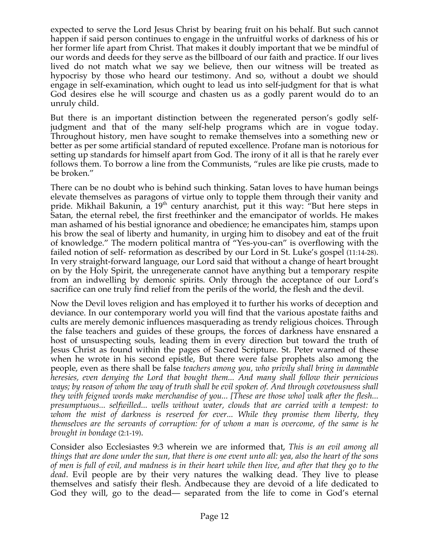expected to serve the Lord Jesus Christ by bearing fruit on his behalf. But such cannot happen if said person continues to engage in the unfruitful works of darkness of his or her former life apart from Christ. That makes it doubly important that we be mindful of our words and deeds for they serve as the billboard of our faith and practice. If our lives lived do not match what we say we believe, then our witness will be treated as hypocrisy by those who heard our testimony. And so, without a doubt we should engage in self-examination, which ought to lead us into self-judgment for that is what God desires else he will scourge and chasten us as a godly parent would do to an unruly child.

But there is an important distinction between the regenerated person's godly selfjudgment and that of the many self-help programs which are in vogue today. Throughout history, men have sought to remake themselves into a something new or better as per some artificial standard of reputed excellence. Profane man is notorious for setting up standards for himself apart from God. The irony of it all is that he rarely ever follows them. To borrow a line from the Communists, "rules are like pie crusts, made to be broken."

There can be no doubt who is behind such thinking. Satan loves to have human beings elevate themselves as paragons of virtue only to topple them through their vanity and pride. Mikhail Bakunin, a 19<sup>th</sup> century anarchist, put it this way: "But here steps in Satan, the eternal rebel, the first freethinker and the emancipator of worlds. He makes man ashamed of his bestial ignorance and obedience; he emancipates him, stamps upon his brow the seal of liberty and humanity, in urging him to disobey and eat of the fruit of knowledge." The modern political mantra of "Yes-you-can" is overflowing with the failed notion of self- reformation as described by our Lord in St. Luke's gospel (11:14-28). In very straight-forward language, our Lord said that without a change of heart brought on by the Holy Spirit, the unregenerate cannot have anything but a temporary respite from an indwelling by demonic spirits. Only through the acceptance of our Lord's sacrifice can one truly find relief from the perils of the world, the flesh and the devil.

Now the Devil loves religion and has employed it to further his works of deception and deviance. In our contemporary world you will find that the various apostate faiths and cults are merely demonic influences masquerading as trendy religious choices. Through the false teachers and guides of these groups, the forces of darkness have ensnared a host of unsuspecting souls, leading them in every direction but toward the truth of Jesus Christ as found within the pages of Sacred Scripture. St. Peter warned of these when he wrote in his second epistle, But there were false prophets also among the people, even as there shall be false *teachers among you, who privily shall bring in damnable heresies, even denying the Lord that bought them... And many shall follow their pernicious ways; by reason of whom the way of truth shall be evil spoken of. And through covetousness shall they with feigned words make merchandise of you... [These are those who] walk after the flesh... presumptuous... selfwilled... wells without water, clouds that are carried with a tempest: to whom the mist of darkness is reserved for ever... While they promise them liberty, they themselves are the servants of corruption: for of whom a man is overcome, of the same is he brought in bondage* (2:1-19).

Consider also Ecclesiastes 9:3 wherein we are informed that, *This is an evil among all things that are done under the sun, that there is one event unto all: yea, also the heart of the sons of men is full of evil, and madness is in their heart while then live, and after that they go to the dead*. Evil people are by their very natures the walking dead. They live to please themselves and satisfy their flesh. Andbecause they are devoid of a life dedicated to God they will, go to the dead— separated from the life to come in God's eternal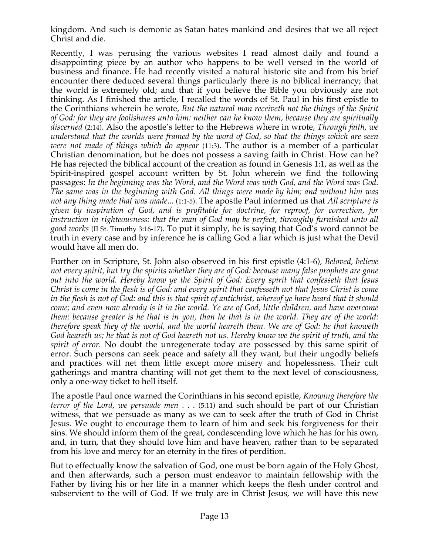kingdom. And such is demonic as Satan hates mankind and desires that we all reject Christ and die.

Recently, I was perusing the various websites I read almost daily and found a disappointing piece by an author who happens to be well versed in the world of business and finance. He had recently visited a natural historic site and from his brief encounter there deduced several things particularly there is no biblical inerrancy; that the world is extremely old; and that if you believe the Bible you obviously are not thinking. As I finished the article, I recalled the words of St. Paul in his first epistle to the Corinthians wherein he wrote, *But the natural man receiveth not the things of the Spirit of God: for they are foolishness unto him: neither can he know them, because they are spiritually discerned* (2:14). Also the apostle's letter to the Hebrews where in wrote, *Through faith, we understand that the worlds were framed by the word of God, so that the things which are seen were not made of things which do appear* (11:3). The author is a member of a particular Christian denomination, but he does not possess a saving faith in Christ. How can he? He has rejected the biblical account of the creation as found in Genesis 1:1, as well as the Spirit-inspired gospel account written by St. John wherein we find the following passages: *In the beginning was the Word, and the Word was with God, and the Word was God. The same was in the beginning with God. All things were made by him; and without him was not any thing made that was made*... (1:1-5). The apostle Paul informed us that *All scripture is given by inspiration of God, and is profitable for doctrine, for reproof, for correction, for instruction in righteousness: that the man of God may be perfect, throughly furnished unto all good works* (II St. Timothy 3:16-17). To put it simply, he is saying that God's word cannot be truth in every case and by inference he is calling God a liar which is just what the Devil would have all men do.

Further on in Scripture, St. John also observed in his first epistle (4:1-6), *Beloved, believe not every spirit, but try the spirits whether they are of God: because many false prophets are gone out into the world. Hereby know ye the Spirit of God: Every spirit that confesseth that Jesus Christ is come in the flesh is of God: and every spirit that confesseth not that Jesus Christ is come in the flesh is not of God: and this is that spirit of antichrist, whereof ye have heard that it should come; and even now already is it in the world. Ye are of God, little children, and have overcome them: because greater is he that is in you, than he that is in the world. They are of the world: therefore speak they of the world, and the world heareth them. We are of God: he that knoweth God heareth us; he that is not of God heareth not us. Hereby know we the spirit of truth, and the spirit of error.* No doubt the unregenerate today are possessed by this same spirit of error. Such persons can seek peace and safety all they want, but their ungodly beliefs and practices will net them little except more misery and hopelessness. Their cult gatherings and mantra chanting will not get them to the next level of consciousness, only a one-way ticket to hell itself.

The apostle Paul once warned the Corinthians in his second epistle, *Knowing therefore the terror of the Lord, we persuade men* . . . (5:11) and such should be part of our Christian witness, that we persuade as many as we can to seek after the truth of God in Christ Jesus. We ought to encourage them to learn of him and seek his forgiveness for their sins. We should inform them of the great, condescending love which he has for his own, and, in turn, that they should love him and have heaven, rather than to be separated from his love and mercy for an eternity in the fires of perdition.

But to effectually know the salvation of God, one must be born again of the Holy Ghost, and then afterwards, such a person must endeavor to maintain fellowship with the Father by living his or her life in a manner which keeps the flesh under control and subservient to the will of God. If we truly are in Christ Jesus, we will have this new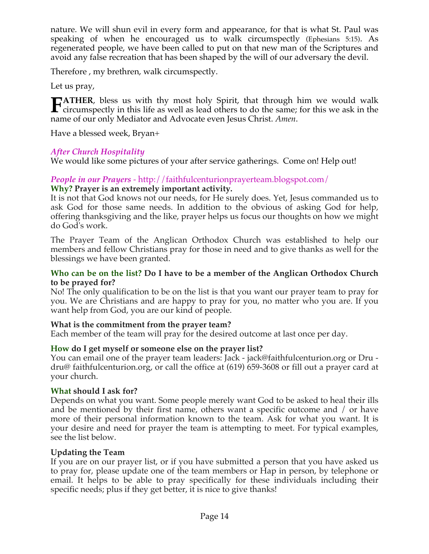nature. We will shun evil in every form and appearance, for that is what St. Paul was speaking of when he encouraged us to walk circumspectly (Ephesians 5:15). As regenerated people, we have been called to put on that new man of the Scriptures and avoid any false recreation that has been shaped by the will of our adversary the devil.

Therefore , my brethren, walk circumspectly.

Let us pray,

**ATHER**, bless us with thy most holy Spirit, that through him we would walk **FATHER**, bless us with thy most holy Spirit, that through him we would walk circumspectly in this life as well as lead others to do the same; for this we ask in the name of same allows and Advanced agree Christ August name of our only Mediator and Advocate even Jesus Christ. *Amen*.

Have a blessed week, Bryan+

# *After Church Hospitality*

We would like some pictures of your after service gatherings. Come on! Help out!

### *People in our Prayers* - http://faithfulcenturionprayerteam.blogspot.com/ **Why? Prayer is an extremely important activity.**

It is not that God knows not our needs, for He surely does. Yet, Jesus commanded us to ask God for those same needs. In addition to the obvious of asking God for help, offering thanksgiving and the like, prayer helps us focus our thoughts on how we might do God's work.

The Prayer Team of the Anglican Orthodox Church was established to help our members and fellow Christians pray for those in need and to give thanks as well for the blessings we have been granted.

### **Who can be on the list? Do I have to be a member of the Anglican Orthodox Church to be prayed for?**

No! The only qualification to be on the list is that you want our prayer team to pray for you. We are Christians and are happy to pray for you, no matter who you are. If you want help from God, you are our kind of people.

# **What is the commitment from the prayer team?**

Each member of the team will pray for the desired outcome at last once per day.

# **How do I get myself or someone else on the prayer list?**

You can email one of the prayer team leaders: Jack - jack@faithfulcenturion.org or Dru dru@ faithfulcenturion.org, or call the office at (619) 659-3608 or fill out a prayer card at your church.

# **What should I ask for?**

Depends on what you want. Some people merely want God to be asked to heal their ills and be mentioned by their first name, others want a specific outcome and / or have more of their personal information known to the team. Ask for what you want. It is your desire and need for prayer the team is attempting to meet. For typical examples, see the list below.

# **Updating the Team**

If you are on our prayer list, or if you have submitted a person that you have asked us to pray for, please update one of the team members or Hap in person, by telephone or email. It helps to be able to pray specifically for these individuals including their specific needs; plus if they get better, it is nice to give thanks!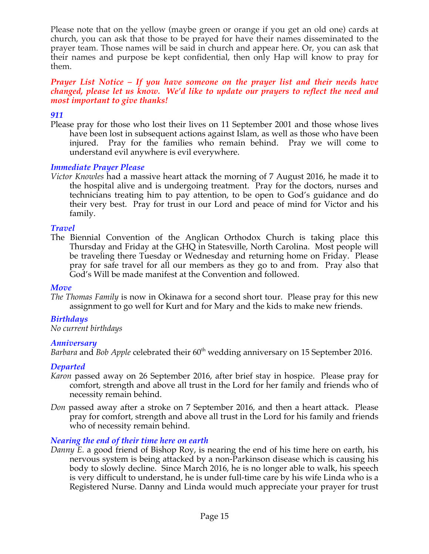Please note that on the yellow (maybe green or orange if you get an old one) cards at church, you can ask that those to be prayed for have their names disseminated to the prayer team. Those names will be said in church and appear here. Or, you can ask that their names and purpose be kept confidential, then only Hap will know to pray for them.

### *Prayer List Notice – If you have someone on the prayer list and their needs have changed, please let us know. We'd like to update our prayers to reflect the need and most important to give thanks!*

# *911*

Please pray for those who lost their lives on 11 September 2001 and those whose lives have been lost in subsequent actions against Islam, as well as those who have been injured. Pray for the families who remain behind. Pray we will come to understand evil anywhere is evil everywhere.

# *Immediate Prayer Please*

*Victor Knowles* had a massive heart attack the morning of 7 August 2016, he made it to the hospital alive and is undergoing treatment. Pray for the doctors, nurses and technicians treating him to pay attention, to be open to God's guidance and do their very best. Pray for trust in our Lord and peace of mind for Victor and his family.

### *Travel*

The Biennial Convention of the Anglican Orthodox Church is taking place this Thursday and Friday at the GHQ in Statesville, North Carolina. Most people will be traveling there Tuesday or Wednesday and returning home on Friday. Please pray for safe travel for all our members as they go to and from. Pray also that God's Will be made manifest at the Convention and followed.

# *Move*

*The Thomas Family* is now in Okinawa for a second short tour. Please pray for this new assignment to go well for Kurt and for Mary and the kids to make new friends.

# *Birthdays*

*No current birthdays*

# *Anniversary*

*Barbara* and *Bob Apple* celebrated their 60<sup>th</sup> wedding anniversary on 15 September 2016.

# *Departed*

- *Karon* passed away on 26 September 2016, after brief stay in hospice. Please pray for comfort, strength and above all trust in the Lord for her family and friends who of necessity remain behind.
- *Don passed away after a stroke on 7 September 2016, and then a heart attack. Please* pray for comfort, strength and above all trust in the Lord for his family and friends who of necessity remain behind.

# *Nearing the end of their time here on earth*

*Danny E.* a good friend of Bishop Roy, is nearing the end of his time here on earth, his nervous system is being attacked by a non-Parkinson disease which is causing his body to slowly decline. Since March 2016, he is no longer able to walk, his speech is very difficult to understand, he is under full-time care by his wife Linda who is a Registered Nurse. Danny and Linda would much appreciate your prayer for trust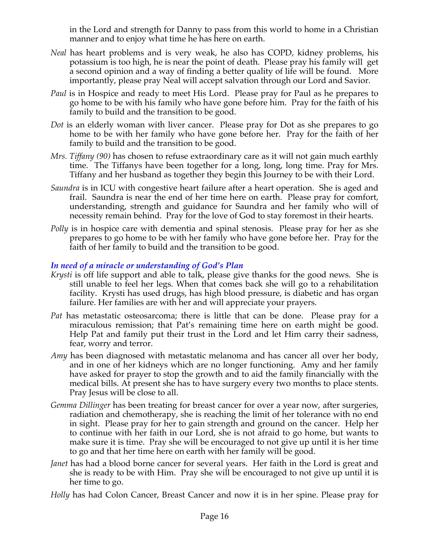in the Lord and strength for Danny to pass from this world to home in a Christian manner and to enjoy what time he has here on earth.

- *Neal* has heart problems and is very weak, he also has COPD, kidney problems, his potassium is too high, he is near the point of death. Please pray his family will get a second opinion and a way of finding a better quality of life will be found. More importantly, please pray Neal will accept salvation through our Lord and Savior.
- *Paul* is in Hospice and ready to meet His Lord. Please pray for Paul as he prepares to go home to be with his family who have gone before him. Pray for the faith of his family to build and the transition to be good.
- *Dot* is an elderly woman with liver cancer. Please pray for Dot as she prepares to go home to be with her family who have gone before her. Pray for the faith of her family to build and the transition to be good.
- *Mrs. Tiffany (90)* has chosen to refuse extraordinary care as it will not gain much earthly time. The Tiffanys have been together for a long, long, long time. Pray for Mrs. Tiffany and her husband as together they begin this Journey to be with their Lord.
- *Saundra* is in ICU with congestive heart failure after a heart operation. She is aged and frail. Saundra is near the end of her time here on earth. Please pray for comfort, understanding, strength and guidance for Saundra and her family who will of necessity remain behind. Pray for the love of God to stay foremost in their hearts.
- *Polly* is in hospice care with dementia and spinal stenosis. Please pray for her as she prepares to go home to be with her family who have gone before her. Pray for the faith of her family to build and the transition to be good.

# *In need of a miracle or understanding of God's Plan*

- *Krysti* is off life support and able to talk, please give thanks for the good news. She is still unable to feel her legs. When that comes back she will go to a rehabilitation facility. Krysti has used drugs, has high blood pressure, is diabetic and has organ failure. Her families are with her and will appreciate your prayers.
- *Pat* has metastatic osteosarcoma; there is little that can be done. Please pray for a miraculous remission; that Pat's remaining time here on earth might be good. Help Pat and family put their trust in the Lord and let Him carry their sadness, fear, worry and terror.
- *Amy* has been diagnosed with metastatic melanoma and has cancer all over her body, and in one of her kidneys which are no longer functioning. Amy and her family have asked for prayer to stop the growth and to aid the family financially with the medical bills. At present she has to have surgery every two months to place stents. Pray Jesus will be close to all.
- *Gemma Dillinger* has been treating for breast cancer for over a year now, after surgeries, radiation and chemotherapy, she is reaching the limit of her tolerance with no end in sight. Please pray for her to gain strength and ground on the cancer. Help her to continue with her faith in our Lord, she is not afraid to go home, but wants to make sure it is time. Pray she will be encouraged to not give up until it is her time to go and that her time here on earth with her family will be good.
- *Janet* has had a blood borne cancer for several years. Her faith in the Lord is great and she is ready to be with Him. Pray she will be encouraged to not give up until it is her time to go.
- *Holly* has had Colon Cancer, Breast Cancer and now it is in her spine. Please pray for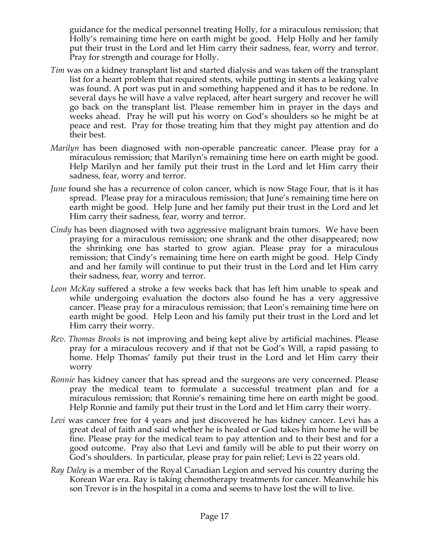guidance for the medical personnel treating Holly, for a miraculous remission; that Holly's remaining time here on earth might be good. Help Holly and her family put their trust in the Lord and let Him carry their sadness, fear, worry and terror. Pray for strength and courage for Holly.

- *Tim* was on a kidney transplant list and started dialysis and was taken off the transplant list for a heart problem that required stents, while putting in stents a leaking valve was found. A port was put in and something happened and it has to be redone. In several days he will have a valve replaced, after heart surgery and recover he will go back on the transplant list. Please remember him in prayer in the days and weeks ahead. Pray he will put his worry on God's shoulders so he might be at peace and rest. Pray for those treating him that they might pay attention and do their best.
- *Marilyn* has been diagnosed with non-operable pancreatic cancer. Please pray for a miraculous remission; that Marilyn's remaining time here on earth might be good. Help Marilyn and her family put their trust in the Lord and let Him carry their sadness, fear, worry and terror.
- *June* found she has a recurrence of colon cancer, which is now Stage Four, that is it has spread. Please pray for a miraculous remission; that June's remaining time here on earth might be good. Help June and her family put their trust in the Lord and let Him carry their sadness, fear, worry and terror.
- *Cindy* has been diagnosed with two aggressive malignant brain tumors. We have been praying for a miraculous remission; one shrank and the other disappeared; now the shrinking one has started to grow agian. Please pray for a miraculous remission; that Cindy's remaining time here on earth might be good. Help Cindy and and her family will continue to put their trust in the Lord and let Him carry their sadness, fear, worry and terror.
- *Leon McKay* suffered a stroke a few weeks back that has left him unable to speak and while undergoing evaluation the doctors also found he has a very aggressive cancer. Please pray for a miraculous remission; that Leon's remaining time here on earth might be good. Help Leon and his family put their trust in the Lord and let Him carry their worry.
- *Rev. Thomas Brooks* is not improving and being kept alive by artificial machines. Please pray for a miraculous recovery and if that not be God's Will, a rapid passing to home. Help Thomas' family put their trust in the Lord and let Him carry their worry
- *Ronnie* has kidney cancer that has spread and the surgeons are very concerned. Please pray the medical team to formulate a successful treatment plan and for a miraculous remission; that Ronnie's remaining time here on earth might be good. Help Ronnie and family put their trust in the Lord and let Him carry their worry.
- *Levi* was cancer free for 4 years and just discovered he has kidney cancer. Levi has a great deal of faith and said whether he is healed or God takes him home he will be fine. Please pray for the medical team to pay attention and to their best and for a good outcome. Pray also that Levi and family will be able to put their worry on God's shoulders. In particular, please pray for pain relief; Levi is 22 years old.
- *Ray Daley* is a member of the Royal Canadian Legion and served his country during the Korean War era. Ray is taking chemotherapy treatments for cancer. Meanwhile his son Trevor is in the hospital in a coma and seems to have lost the will to live.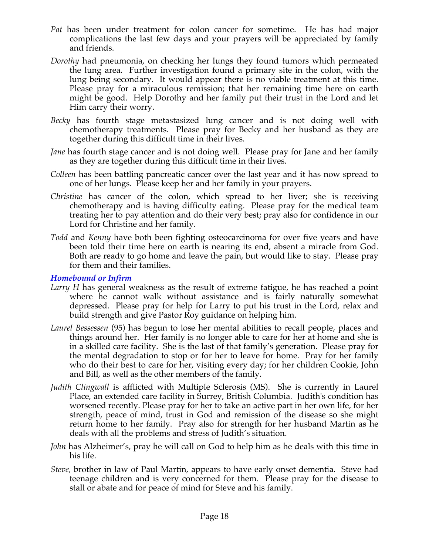- *Pat* has been under treatment for colon cancer for sometime. He has had major complications the last few days and your prayers will be appreciated by family and friends.
- *Dorothy* had pneumonia, on checking her lungs they found tumors which permeated the lung area. Further investigation found a primary site in the colon, with the lung being secondary. It would appear there is no viable treatment at this time. Please pray for a miraculous remission; that her remaining time here on earth might be good. Help Dorothy and her family put their trust in the Lord and let Him carry their worry.
- *Becky* has fourth stage metastasized lung cancer and is not doing well with chemotherapy treatments. Please pray for Becky and her husband as they are together during this difficult time in their lives.
- *Jane* has fourth stage cancer and is not doing well. Please pray for Jane and her family as they are together during this difficult time in their lives.
- *Colleen* has been battling pancreatic cancer over the last year and it has now spread to one of her lungs. Please keep her and her family in your prayers.
- *Christine* has cancer of the colon, which spread to her liver; she is receiving chemotherapy and is having difficulty eating. Please pray for the medical team treating her to pay attention and do their very best; pray also for confidence in our Lord for Christine and her family.
- *Todd* and *Kenny* have both been fighting osteocarcinoma for over five years and have been told their time here on earth is nearing its end, absent a miracle from God. Both are ready to go home and leave the pain, but would like to stay. Please pray for them and their families.

#### *Homebound or Infirm*

- *Larry H* has general weakness as the result of extreme fatigue, he has reached a point where he cannot walk without assistance and is fairly naturally somewhat depressed. Please pray for help for Larry to put his trust in the Lord, relax and build strength and give Pastor Roy guidance on helping him.
- *Laurel Bessessen* (95) has begun to lose her mental abilities to recall people, places and things around her. Her family is no longer able to care for her at home and she is in a skilled care facility. She is the last of that family's generation. Please pray for the mental degradation to stop or for her to leave for home. Pray for her family who do their best to care for her, visiting every day; for her children Cookie, John and Bill, as well as the other members of the family.
- *Judith Clingwall* is afflicted with Multiple Sclerosis (MS). She is currently in Laurel Place, an extended care facility in Surrey, British Columbia. Judith's condition has worsened recently. Please pray for her to take an active part in her own life, for her strength, peace of mind, trust in God and remission of the disease so she might return home to her family. Pray also for strength for her husband Martin as he deals with all the problems and stress of Judith's situation.
- *John* has Alzheimer's, pray he will call on God to help him as he deals with this time in his life.
- *Steve,* brother in law of Paul Martin, appears to have early onset dementia. Steve had teenage children and is very concerned for them. Please pray for the disease to stall or abate and for peace of mind for Steve and his family.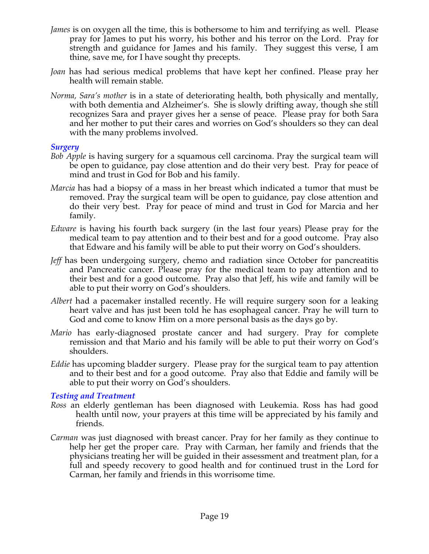- *James* is on oxygen all the time, this is bothersome to him and terrifying as well. Please pray for James to put his worry, his bother and his terror on the Lord. Pray for strength and guidance for James and his family. They suggest this verse, I am thine, save me, for I have sought thy precepts.
- *Joan* has had serious medical problems that have kept her confined. Please pray her health will remain stable.
- *Norma, Sara's mother* is in a state of deteriorating health, both physically and mentally, with both dementia and Alzheimer's. She is slowly drifting away, though she still recognizes Sara and prayer gives her a sense of peace. Please pray for both Sara and her mother to put their cares and worries on God's shoulders so they can deal with the many problems involved.

#### *Surgery*

- *Bob Apple* is having surgery for a squamous cell carcinoma. Pray the surgical team will be open to guidance, pay close attention and do their very best. Pray for peace of mind and trust in God for Bob and his family.
- *Marcia* has had a biopsy of a mass in her breast which indicated a tumor that must be removed. Pray the surgical team will be open to guidance, pay close attention and do their very best. Pray for peace of mind and trust in God for Marcia and her family.
- *Edware* is having his fourth back surgery (in the last four years) Please pray for the medical team to pay attention and to their best and for a good outcome. Pray also that Edware and his family will be able to put their worry on God's shoulders.
- *Jeff* has been undergoing surgery, chemo and radiation since October for pancreatitis and Pancreatic cancer. Please pray for the medical team to pay attention and to their best and for a good outcome. Pray also that Jeff, his wife and family will be able to put their worry on God's shoulders.
- *Albert* had a pacemaker installed recently. He will require surgery soon for a leaking heart valve and has just been told he has esophageal cancer. Pray he will turn to God and come to know Him on a more personal basis as the days go by.
- *Mario* has early-diagnosed prostate cancer and had surgery. Pray for complete remission and that Mario and his family will be able to put their worry on God's shoulders.
- *Eddie* has upcoming bladder surgery. Please pray for the surgical team to pay attention and to their best and for a good outcome. Pray also that Eddie and family will be able to put their worry on God's shoulders.

#### *Testing and Treatment*

- *Ross* an elderly gentleman has been diagnosed with Leukemia. Ross has had good health until now, your prayers at this time will be appreciated by his family and friends.
- *Carman* was just diagnosed with breast cancer. Pray for her family as they continue to help her get the proper care. Pray with Carman, her family and friends that the physicians treating her will be guided in their assessment and treatment plan, for a full and speedy recovery to good health and for continued trust in the Lord for Carman, her family and friends in this worrisome time.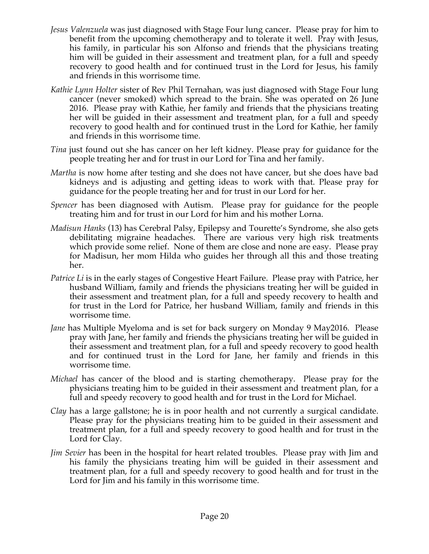- *Jesus Valenzuela* was just diagnosed with Stage Four lung cancer. Please pray for him to benefit from the upcoming chemotherapy and to tolerate it well. Pray with Jesus, his family, in particular his son Alfonso and friends that the physicians treating him will be guided in their assessment and treatment plan, for a full and speedy recovery to good health and for continued trust in the Lord for Jesus, his family and friends in this worrisome time.
- *Kathie Lynn Holter* sister of Rev Phil Ternahan, was just diagnosed with Stage Four lung cancer (never smoked) which spread to the brain. She was operated on 26 June 2016. Please pray with Kathie, her family and friends that the physicians treating her will be guided in their assessment and treatment plan, for a full and speedy recovery to good health and for continued trust in the Lord for Kathie, her family and friends in this worrisome time.
- *Tina* just found out she has cancer on her left kidney. Please pray for guidance for the people treating her and for trust in our Lord for Tina and her family.
- *Martha* is now home after testing and she does not have cancer, but she does have bad kidneys and is adjusting and getting ideas to work with that. Please pray for guidance for the people treating her and for trust in our Lord for her.
- *Spencer* has been diagnosed with Autism. Please pray for guidance for the people treating him and for trust in our Lord for him and his mother Lorna.
- *Madisun Hanks* (13) has Cerebral Palsy, Epilepsy and Tourette's Syndrome, she also gets debilitating migraine headaches. There are various very high risk treatments which provide some relief. None of them are close and none are easy. Please pray for Madisun, her mom Hilda who guides her through all this and those treating her.
- *Patrice Li* is in the early stages of Congestive Heart Failure. Please pray with Patrice, her husband William, family and friends the physicians treating her will be guided in their assessment and treatment plan, for a full and speedy recovery to health and for trust in the Lord for Patrice, her husband William, family and friends in this worrisome time.
- *Jane* has Multiple Myeloma and is set for back surgery on Monday 9 May2016. Please pray with Jane, her family and friends the physicians treating her will be guided in their assessment and treatment plan, for a full and speedy recovery to good health and for continued trust in the Lord for Jane, her family and friends in this worrisome time.
- *Michael* has cancer of the blood and is starting chemotherapy. Please pray for the physicians treating him to be guided in their assessment and treatment plan, for a full and speedy recovery to good health and for trust in the Lord for Michael.
- *Clay* has a large gallstone; he is in poor health and not currently a surgical candidate. Please pray for the physicians treating him to be guided in their assessment and treatment plan, for a full and speedy recovery to good health and for trust in the Lord for Clay.
- *Jim Sevier* has been in the hospital for heart related troubles. Please pray with Jim and his family the physicians treating him will be guided in their assessment and treatment plan, for a full and speedy recovery to good health and for trust in the Lord for Jim and his family in this worrisome time.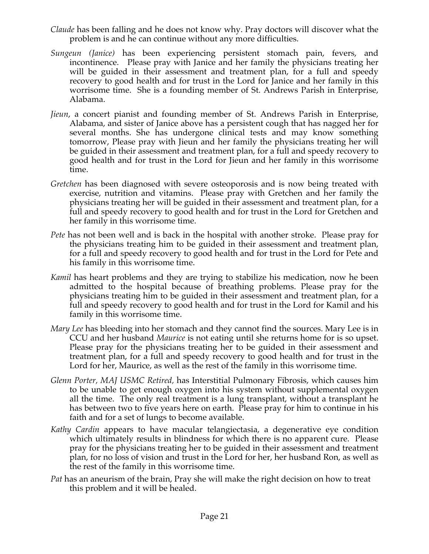- *Claude* has been falling and he does not know why. Pray doctors will discover what the problem is and he can continue without any more difficulties.
- *Sungeun (Janice)* has been experiencing persistent stomach pain, fevers, and incontinence. Please pray with Janice and her family the physicians treating her will be guided in their assessment and treatment plan, for a full and speedy recovery to good health and for trust in the Lord for Janice and her family in this worrisome time. She is a founding member of St. Andrews Parish in Enterprise, Alabama.
- *Jieun*, a concert pianist and founding member of St. Andrews Parish in Enterprise, Alabama, and sister of Janice above has a persistent cough that has nagged her for several months. She has undergone clinical tests and may know something tomorrow, Please pray with Jieun and her family the physicians treating her will be guided in their assessment and treatment plan, for a full and speedy recovery to good health and for trust in the Lord for Jieun and her family in this worrisome time.
- *Gretchen* has been diagnosed with severe osteoporosis and is now being treated with exercise, nutrition and vitamins. Please pray with Gretchen and her family the physicians treating her will be guided in their assessment and treatment plan, for a full and speedy recovery to good health and for trust in the Lord for Gretchen and her family in this worrisome time.
- *Pete* has not been well and is back in the hospital with another stroke. Please pray for the physicians treating him to be guided in their assessment and treatment plan, for a full and speedy recovery to good health and for trust in the Lord for Pete and his family in this worrisome time.
- *Kamil* has heart problems and they are trying to stabilize his medication, now he been admitted to the hospital because of breathing problems. Please pray for the physicians treating him to be guided in their assessment and treatment plan, for a full and speedy recovery to good health and for trust in the Lord for Kamil and his family in this worrisome time.
- *Mary Lee* has bleeding into her stomach and they cannot find the sources. Mary Lee is in CCU and her husband *Maurice* is not eating until she returns home for is so upset. Please pray for the physicians treating her to be guided in their assessment and treatment plan, for a full and speedy recovery to good health and for trust in the Lord for her, Maurice, as well as the rest of the family in this worrisome time.
- *Glenn Porter, MAJ USMC Retired,* has Interstitial Pulmonary Fibrosis, which causes him to be unable to get enough oxygen into his system without supplemental oxygen all the time. The only real treatment is a lung transplant, without a transplant he has between two to five years here on earth. Please pray for him to continue in his faith and for a set of lungs to become available.
- *Kathy Cardin* appears to have macular telangiectasia, a degenerative eye condition which ultimately results in blindness for which there is no apparent cure. Please pray for the physicians treating her to be guided in their assessment and treatment plan, for no loss of vision and trust in the Lord for her, her husband Ron, as well as the rest of the family in this worrisome time.
- *Pat* has an aneurism of the brain, Pray she will make the right decision on how to treat this problem and it will be healed.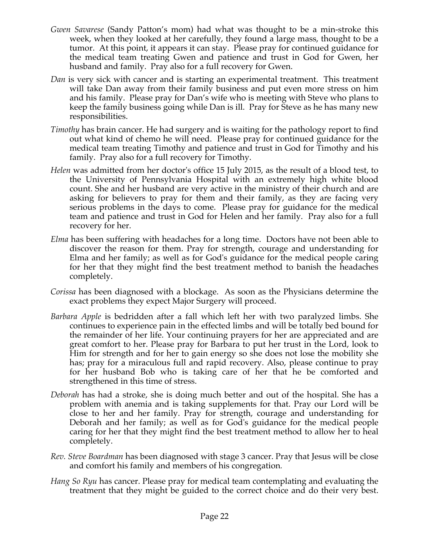- *Gwen Savarese* (Sandy Patton's mom) had what was thought to be a min-stroke this week, when they looked at her carefully, they found a large mass, thought to be a tumor. At this point, it appears it can stay. Please pray for continued guidance for the medical team treating Gwen and patience and trust in God for Gwen, her husband and family. Pray also for a full recovery for Gwen.
- *Dan* is very sick with cancer and is starting an experimental treatment. This treatment will take Dan away from their family business and put even more stress on him and his family. Please pray for Dan's wife who is meeting with Steve who plans to keep the family business going while Dan is ill. Pray for Steve as he has many new responsibilities.
- *Timothy* has brain cancer. He had surgery and is waiting for the pathology report to find out what kind of chemo he will need. Please pray for continued guidance for the medical team treating Timothy and patience and trust in God for Timothy and his family. Pray also for a full recovery for Timothy.
- *Helen* was admitted from her doctor's office 15 July 2015, as the result of a blood test, to the University of Pennsylvania Hospital with an extremely high white blood count. She and her husband are very active in the ministry of their church and are asking for believers to pray for them and their family, as they are facing very serious problems in the days to come. Please pray for guidance for the medical team and patience and trust in God for Helen and her family. Pray also for a full recovery for her.
- *Elma* has been suffering with headaches for a long time. Doctors have not been able to discover the reason for them. Pray for strength, courage and understanding for Elma and her family; as well as for God's guidance for the medical people caring for her that they might find the best treatment method to banish the headaches completely.
- *Corissa* has been diagnosed with a blockage. As soon as the Physicians determine the exact problems they expect Major Surgery will proceed.
- *Barbara Apple* is bedridden after a fall which left her with two paralyzed limbs. She continues to experience pain in the effected limbs and will be totally bed bound for the remainder of her life. Your continuing prayers for her are appreciated and are great comfort to her. Please pray for Barbara to put her trust in the Lord, look to Him for strength and for her to gain energy so she does not lose the mobility she has; pray for a miraculous full and rapid recovery. Also, please continue to pray for her husband Bob who is taking care of her that he be comforted and strengthened in this time of stress.
- *Deborah* has had a stroke, she is doing much better and out of the hospital. She has a problem with anemia and is taking supplements for that. Pray our Lord will be close to her and her family. Pray for strength, courage and understanding for Deborah and her family; as well as for God's guidance for the medical people caring for her that they might find the best treatment method to allow her to heal completely.
- *Rev. Steve Boardman* has been diagnosed with stage 3 cancer. Pray that Jesus will be close and comfort his family and members of his congregation*.*
- *Hang So Ryu* has cancer. Please pray for medical team contemplating and evaluating the treatment that they might be guided to the correct choice and do their very best.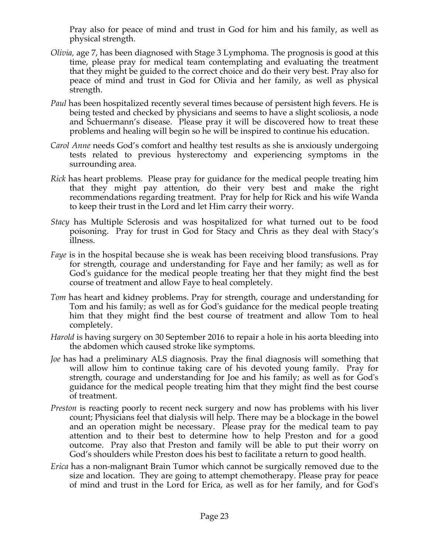Pray also for peace of mind and trust in God for him and his family, as well as physical strength.

- *Olivia,* age 7, has been diagnosed with Stage 3 Lymphoma. The prognosis is good at this time, please pray for medical team contemplating and evaluating the treatment that they might be guided to the correct choice and do their very best. Pray also for peace of mind and trust in God for Olivia and her family, as well as physical strength.
- *Paul* has been hospitalized recently several times because of persistent high fevers. He is being tested and checked by physicians and seems to have a slight scoliosis, a node and Schuermann's disease. Please pray it will be discovered how to treat these problems and healing will begin so he will be inspired to continue his education.
- *Carol Anne* needs God's comfort and healthy test results as she is anxiously undergoing tests related to previous hysterectomy and experiencing symptoms in the surrounding area.
- *Rick* has heart problems. Please pray for guidance for the medical people treating him that they might pay attention, do their very best and make the right recommendations regarding treatment. Pray for help for Rick and his wife Wanda to keep their trust in the Lord and let Him carry their worry.
- *Stacy* has Multiple Sclerosis and was hospitalized for what turned out to be food poisoning. Pray for trust in God for Stacy and Chris as they deal with Stacy's illness.
- *Faye* is in the hospital because she is weak has been receiving blood transfusions. Pray for strength, courage and understanding for Faye and her family; as well as for God's guidance for the medical people treating her that they might find the best course of treatment and allow Faye to heal completely.
- *Tom* has heart and kidney problems. Pray for strength, courage and understanding for Tom and his family; as well as for God's guidance for the medical people treating him that they might find the best course of treatment and allow Tom to heal completely.
- *Harold* is having surgery on 30 September 2016 to repair a hole in his aorta bleeding into the abdomen which caused stroke like symptoms.
- *Joe* has had a preliminary ALS diagnosis. Pray the final diagnosis will something that will allow him to continue taking care of his devoted young family. Pray for strength, courage and understanding for Joe and his family; as well as for God's guidance for the medical people treating him that they might find the best course of treatment.
- *Preston* is reacting poorly to recent neck surgery and now has problems with his liver count; Physicians feel that dialysis will help. There may be a blockage in the bowel and an operation might be necessary. Please pray for the medical team to pay attention and to their best to determine how to help Preston and for a good outcome. Pray also that Preston and family will be able to put their worry on God's shoulders while Preston does his best to facilitate a return to good health.
- *Erica* has a non-malignant Brain Tumor which cannot be surgically removed due to the size and location. They are going to attempt chemotherapy. Please pray for peace of mind and trust in the Lord for Erica, as well as for her family, and for God's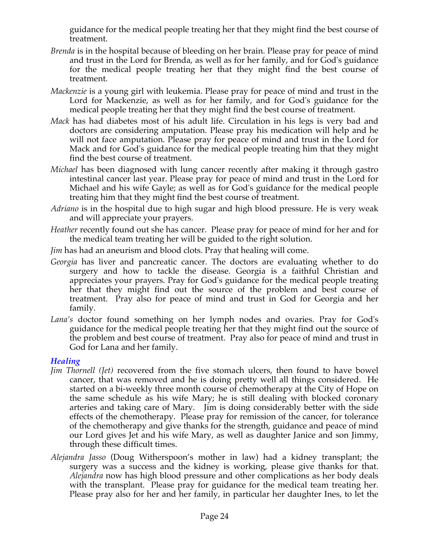guidance for the medical people treating her that they might find the best course of treatment.

- *Brenda* is in the hospital because of bleeding on her brain. Please pray for peace of mind and trust in the Lord for Brenda, as well as for her family, and for God's guidance for the medical people treating her that they might find the best course of treatment.
- *Mackenzie* is a young girl with leukemia. Please pray for peace of mind and trust in the Lord for Mackenzie, as well as for her family, and for God's guidance for the medical people treating her that they might find the best course of treatment.
- *Mack* has had diabetes most of his adult life. Circulation in his legs is very bad and doctors are considering amputation. Please pray his medication will help and he will not face amputation. Please pray for peace of mind and trust in the Lord for Mack and for God's guidance for the medical people treating him that they might find the best course of treatment.
- *Michael* has been diagnosed with lung cancer recently after making it through gastro intestinal cancer last year. Please pray for peace of mind and trust in the Lord for Michael and his wife Gayle; as well as for God's guidance for the medical people treating him that they might find the best course of treatment.
- *Adriano* is in the hospital due to high sugar and high blood pressure. He is very weak and will appreciate your prayers.
- *Heather* recently found out she has cancer. Please pray for peace of mind for her and for the medical team treating her will be guided to the right solution.
- *Jim* has had an aneurism and blood clots. Pray that healing will come.
- *Georgia* has liver and pancreatic cancer. The doctors are evaluating whether to do surgery and how to tackle the disease. Georgia is a faithful Christian and appreciates your prayers. Pray for God's guidance for the medical people treating her that they might find out the source of the problem and best course of treatment. Pray also for peace of mind and trust in God for Georgia and her family.
- *Lana's* doctor found something on her lymph nodes and ovaries. Pray for God's guidance for the medical people treating her that they might find out the source of the problem and best course of treatment. Pray also for peace of mind and trust in God for Lana and her family.

# *Healing*

- *Jim Thornell (Jet)* recovered from the five stomach ulcers, then found to have bowel cancer, that was removed and he is doing pretty well all things considered. He started on a bi-weekly three month course of chemotherapy at the City of Hope on the same schedule as his wife Mary; he is still dealing with blocked coronary arteries and taking care of Mary. Jim is doing considerably better with the side effects of the chemotherapy. Please pray for remission of the cancer, for tolerance of the chemotherapy and give thanks for the strength, guidance and peace of mind our Lord gives Jet and his wife Mary, as well as daughter Janice and son Jimmy, through these difficult times.
- *Alejandra Jasso* (Doug Witherspoon's mother in law) had a kidney transplant; the surgery was a success and the kidney is working, please give thanks for that. *Alejandra* now has high blood pressure and other complications as her body deals with the transplant. Please pray for guidance for the medical team treating her. Please pray also for her and her family, in particular her daughter Ines, to let the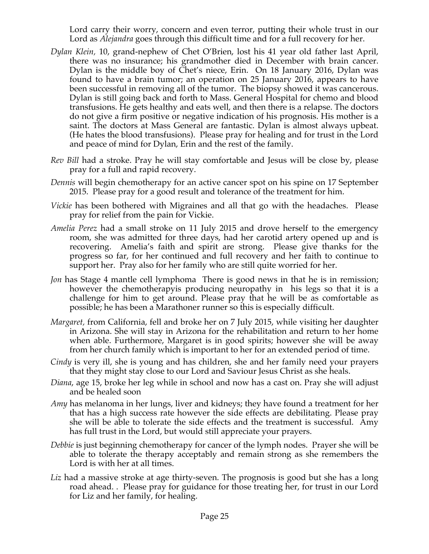Lord carry their worry, concern and even terror, putting their whole trust in our Lord as *Alejandra* goes through this difficult time and for a full recovery for her.

- *Dylan Klein,* 10, grand-nephew of Chet O'Brien, lost his 41 year old father last April, there was no insurance; his grandmother died in December with brain cancer. Dylan is the middle boy of Chet's niece, Erin. On 18 January 2016, Dylan was found to have a brain tumor; an operation on 25 January 2016, appears to have been successful in removing all of the tumor. The biopsy showed it was cancerous. Dylan is still going back and forth to Mass. General Hospital for chemo and blood transfusions. He gets healthy and eats well, and then there is a relapse. The doctors do not give a firm positive or negative indication of his prognosis. His mother is a saint. The doctors at Mass General are fantastic. Dylan is almost always upbeat. (He hates the blood transfusions). Please pray for healing and for trust in the Lord and peace of mind for Dylan, Erin and the rest of the family.
- *Rev Bill* had a stroke. Pray he will stay comfortable and Jesus will be close by, please pray for a full and rapid recovery.
- *Dennis* will begin chemotherapy for an active cancer spot on his spine on 17 September 2015. Please pray for a good result and tolerance of the treatment for him.
- *Vickie* has been bothered with Migraines and all that go with the headaches. Please pray for relief from the pain for Vickie.
- *Amelia Perez* had a small stroke on 11 July 2015 and drove herself to the emergency room, she was admitted for three days, had her carotid artery opened up and is recovering. Amelia's faith and spirit are strong. Please give thanks for the progress so far, for her continued and full recovery and her faith to continue to support her. Pray also for her family who are still quite worried for her.
- *Jon* has Stage 4 mantle cell lymphoma There is good news in that he is in remission; however the chemotherapyis producing neuropathy in his legs so that it is a challenge for him to get around. Please pray that he will be as comfortable as possible; he has been a Marathoner runner so this is especially difficult.
- *Margaret,* from California, fell and broke her on 7 July 2015, while visiting her daughter in Arizona. She will stay in Arizona for the rehabilitation and return to her home when able. Furthermore, Margaret is in good spirits; however she will be away from her church family which is important to her for an extended period of time.
- *Cindy* is very ill, she is young and has children, she and her family need your prayers that they might stay close to our Lord and Saviour Jesus Christ as she heals.
- *Diana*, age 15, broke her leg while in school and now has a cast on. Pray she will adjust and be healed soon
- *Amy* has melanoma in her lungs, liver and kidneys; they have found a treatment for her that has a high success rate however the side effects are debilitating. Please pray she will be able to tolerate the side effects and the treatment is successful. Amy has full trust in the Lord, but would still appreciate your prayers.
- *Debbie* is just beginning chemotherapy for cancer of the lymph nodes. Prayer she will be able to tolerate the therapy acceptably and remain strong as she remembers the Lord is with her at all times.
- Liz had a massive stroke at age thirty-seven. The prognosis is good but she has a long road ahead. . Please pray for guidance for those treating her, for trust in our Lord for Liz and her family, for healing.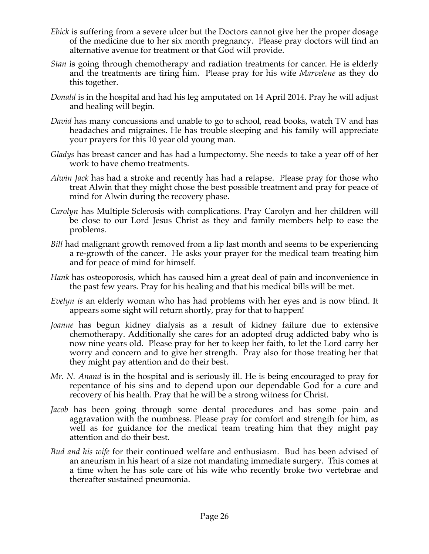- *Ebick* is suffering from a severe ulcer but the Doctors cannot give her the proper dosage of the medicine due to her six month pregnancy. Please pray doctors will find an alternative avenue for treatment or that God will provide.
- *Stan* is going through chemotherapy and radiation treatments for cancer. He is elderly and the treatments are tiring him. Please pray for his wife *Marvelene* as they do this together.
- *Donald* is in the hospital and had his leg amputated on 14 April 2014. Pray he will adjust and healing will begin.
- *David* has many concussions and unable to go to school, read books, watch TV and has headaches and migraines. He has trouble sleeping and his family will appreciate your prayers for this 10 year old young man.
- *Gladys* has breast cancer and has had a lumpectomy. She needs to take a year off of her work to have chemo treatments.
- *Alwin Jack* has had a stroke and recently has had a relapse. Please pray for those who treat Alwin that they might chose the best possible treatment and pray for peace of mind for Alwin during the recovery phase.
- *Carolyn* has Multiple Sclerosis with complications. Pray Carolyn and her children will be close to our Lord Jesus Christ as they and family members help to ease the problems.
- *Bill* had malignant growth removed from a lip last month and seems to be experiencing a re-growth of the cancer. He asks your prayer for the medical team treating him and for peace of mind for himself.
- *Hank* has osteoporosis, which has caused him a great deal of pain and inconvenience in the past few years. Pray for his healing and that his medical bills will be met.
- *Evelyn is* an elderly woman who has had problems with her eyes and is now blind. It appears some sight will return shortly, pray for that to happen!
- *Joanne* has begun kidney dialysis as a result of kidney failure due to extensive chemotherapy. Additionally she cares for an adopted drug addicted baby who is now nine years old. Please pray for her to keep her faith, to let the Lord carry her worry and concern and to give her strength. Pray also for those treating her that they might pay attention and do their best.
- *Mr. N. Anand* is in the hospital and is seriously ill. He is being encouraged to pray for repentance of his sins and to depend upon our dependable God for a cure and recovery of his health. Pray that he will be a strong witness for Christ.
- *Jacob* has been going through some dental procedures and has some pain and aggravation with the numbness. Please pray for comfort and strength for him, as well as for guidance for the medical team treating him that they might pay attention and do their best.
- *Bud and his wife* for their continued welfare and enthusiasm. Bud has been advised of an aneurism in his heart of a size not mandating immediate surgery. This comes at a time when he has sole care of his wife who recently broke two vertebrae and thereafter sustained pneumonia.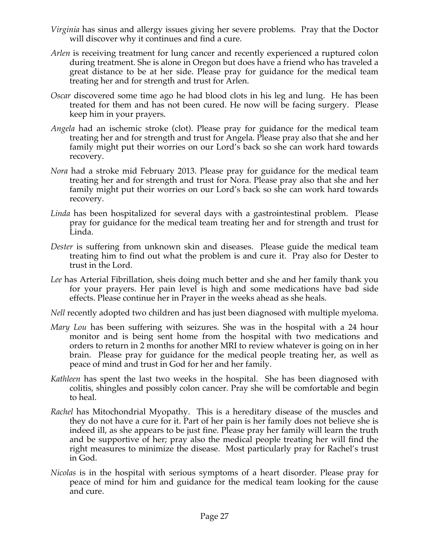- *Virginia* has sinus and allergy issues giving her severe problems. Pray that the Doctor will discover why it continues and find a cure.
- *Arlen* is receiving treatment for lung cancer and recently experienced a ruptured colon during treatment. She is alone in Oregon but does have a friend who has traveled a great distance to be at her side. Please pray for guidance for the medical team treating her and for strength and trust for Arlen.
- *Oscar* discovered some time ago he had blood clots in his leg and lung. He has been treated for them and has not been cured. He now will be facing surgery. Please keep him in your prayers.
- *Angela* had an ischemic stroke (clot). Please pray for guidance for the medical team treating her and for strength and trust for Angela. Please pray also that she and her family might put their worries on our Lord's back so she can work hard towards recovery.
- *Nora* had a stroke mid February 2013. Please pray for guidance for the medical team treating her and for strength and trust for Nora. Please pray also that she and her family might put their worries on our Lord's back so she can work hard towards recovery.
- *Linda* has been hospitalized for several days with a gastrointestinal problem. Please pray for guidance for the medical team treating her and for strength and trust for Linda.
- *Dester* is suffering from unknown skin and diseases. Please guide the medical team treating him to find out what the problem is and cure it. Pray also for Dester to trust in the Lord.
- *Lee* has Arterial Fibrillation, sheis doing much better and she and her family thank you for your prayers. Her pain level is high and some medications have bad side effects. Please continue her in Prayer in the weeks ahead as she heals.
- *Nell* recently adopted two children and has just been diagnosed with multiple myeloma.
- *Mary Lou* has been suffering with seizures. She was in the hospital with a 24 hour monitor and is being sent home from the hospital with two medications and orders to return in 2 months for another MRI to review whatever is going on in her brain. Please pray for guidance for the medical people treating her, as well as peace of mind and trust in God for her and her family.
- *Kathleen* has spent the last two weeks in the hospital. She has been diagnosed with colitis, shingles and possibly colon cancer. Pray she will be comfortable and begin to heal.
- *Rachel* has Mitochondrial Myopathy. This is a hereditary disease of the muscles and they do not have a cure for it. Part of her pain is her family does not believe she is indeed ill, as she appears to be just fine. Please pray her family will learn the truth and be supportive of her; pray also the medical people treating her will find the right measures to minimize the disease. Most particularly pray for Rachel's trust in God.
- *Nicolas* is in the hospital with serious symptoms of a heart disorder. Please pray for peace of mind for him and guidance for the medical team looking for the cause and cure.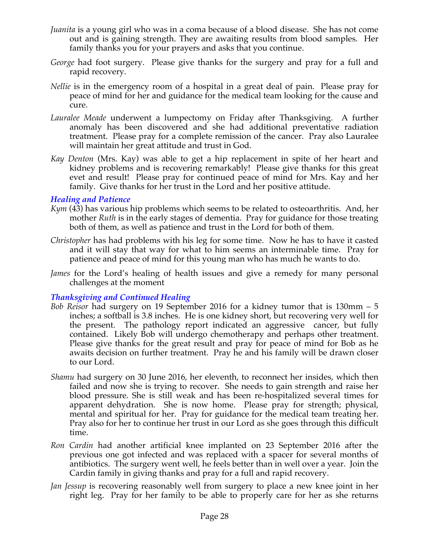- *Juanita* is a young girl who was in a coma because of a blood disease. She has not come out and is gaining strength. They are awaiting results from blood samples. Her family thanks you for your prayers and asks that you continue.
- *George* had foot surgery. Please give thanks for the surgery and pray for a full and rapid recovery.
- *Nellie* is in the emergency room of a hospital in a great deal of pain. Please pray for peace of mind for her and guidance for the medical team looking for the cause and cure.
- *Lauralee Meade* underwent a lumpectomy on Friday after Thanksgiving. A further anomaly has been discovered and she had additional preventative radiation treatment. Please pray for a complete remission of the cancer. Pray also Lauralee will maintain her great attitude and trust in God.
- *Kay Denton* (Mrs. Kay) was able to get a hip replacement in spite of her heart and kidney problems and is recovering remarkably! Please give thanks for this great evet and result! Please pray for continued peace of mind for Mrs. Kay and her family. Give thanks for her trust in the Lord and her positive attitude.

### *Healing and Patience*

- *Kym* (43) has various hip problems which seems to be related to osteoarthritis. And, her mother *Ruth* is in the early stages of dementia. Pray for guidance for those treating both of them, as well as patience and trust in the Lord for both of them.
- *Christopher* has had problems with his leg for some time. Now he has to have it casted and it will stay that way for what to him seems an interminable time. Pray for patience and peace of mind for this young man who has much he wants to do.
- *James* for the Lord's healing of health issues and give a remedy for many personal challenges at the moment

# *Thanksgiving and Continued Healing*

- *Bob Reisor* had surgery on 19 September 2016 for a kidney tumor that is 130mm 5 inches; a softball is 3.8 inches. He is one kidney short, but recovering very well for the present. The pathology report indicated an aggressive cancer, but fully contained. Likely Bob will undergo chemotherapy and perhaps other treatment. Please give thanks for the great result and pray for peace of mind for Bob as he awaits decision on further treatment. Pray he and his family will be drawn closer to our Lord.
- *Shamu* had surgery on 30 June 2016, her eleventh, to reconnect her insides, which then failed and now she is trying to recover. She needs to gain strength and raise her blood pressure. She is still weak and has been re-hospitalized several times for apparent dehydration. She is now home. Please pray for strength; physical, mental and spiritual for her. Pray for guidance for the medical team treating her. Pray also for her to continue her trust in our Lord as she goes through this difficult time.
- *Ron Cardin* had another artificial knee implanted on 23 September 2016 after the previous one got infected and was replaced with a spacer for several months of antibiotics. The surgery went well, he feels better than in well over a year. Join the Cardin family in giving thanks and pray for a full and rapid recovery.
- *Jan Jessup* is recovering reasonably well from surgery to place a new knee joint in her right leg. Pray for her family to be able to properly care for her as she returns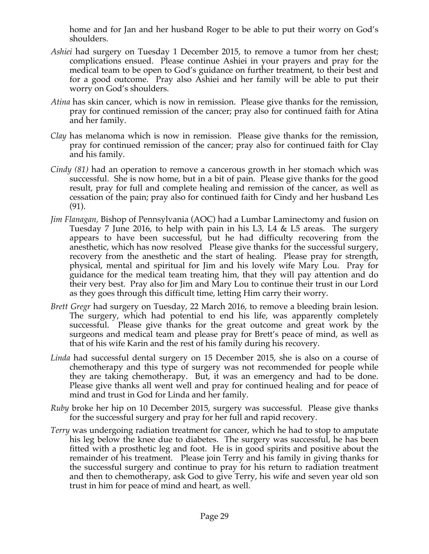home and for Jan and her husband Roger to be able to put their worry on God's shoulders.

- *Ashiei* had surgery on Tuesday 1 December 2015, to remove a tumor from her chest; complications ensued. Please continue Ashiei in your prayers and pray for the medical team to be open to God's guidance on further treatment, to their best and for a good outcome. Pray also Ashiei and her family will be able to put their worry on God's shoulders.
- *Atina* has skin cancer, which is now in remission. Please give thanks for the remission, pray for continued remission of the cancer; pray also for continued faith for Atina and her family.
- *Clay* has melanoma which is now in remission. Please give thanks for the remission, pray for continued remission of the cancer; pray also for continued faith for Clay and his family.
- *Cindy (81)* had an operation to remove a cancerous growth in her stomach which was successful. She is now home, but in a bit of pain. Please give thanks for the good result, pray for full and complete healing and remission of the cancer, as well as cessation of the pain; pray also for continued faith for Cindy and her husband Les (91).
- *Jim Flanagan,* Bishop of Pennsylvania (AOC) had a Lumbar Laminectomy and fusion on Tuesday 7 June 2016, to help with pain in his L3, L4 & L5 areas. The surgery appears to have been successful, but he had difficulty recovering from the anesthetic, which has now resolved Please give thanks for the successful surgery, recovery from the anesthetic and the start of healing. Please pray for strength, physical, mental and spiritual for Jim and his lovely wife Mary Lou. Pray for guidance for the medical team treating him, that they will pay attention and do their very best. Pray also for Jim and Mary Lou to continue their trust in our Lord as they goes through this difficult time, letting Him carry their worry.
- *Brett Gregr* had surgery on Tuesday, 22 March 2016, to remove a bleeding brain lesion. The surgery, which had potential to end his life, was apparently completely successful. Please give thanks for the great outcome and great work by the surgeons and medical team and please pray for Brett's peace of mind, as well as that of his wife Karin and the rest of his family during his recovery.
- *Linda* had successful dental surgery on 15 December 2015, she is also on a course of chemotherapy and this type of surgery was not recommended for people while they are taking chemotherapy. But, it was an emergency and had to be done. Please give thanks all went well and pray for continued healing and for peace of mind and trust in God for Linda and her family.
- *Ruby* broke her hip on 10 December 2015, surgery was successful. Please give thanks for the successful surgery and pray for her full and rapid recovery.
- *Terry* was undergoing radiation treatment for cancer, which he had to stop to amputate his leg below the knee due to diabetes. The surgery was successful, he has been fitted with a prosthetic leg and foot. He is in good spirits and positive about the remainder of his treatment. Please join Terry and his family in giving thanks for the successful surgery and continue to pray for his return to radiation treatment and then to chemotherapy, ask God to give Terry, his wife and seven year old son trust in him for peace of mind and heart, as well.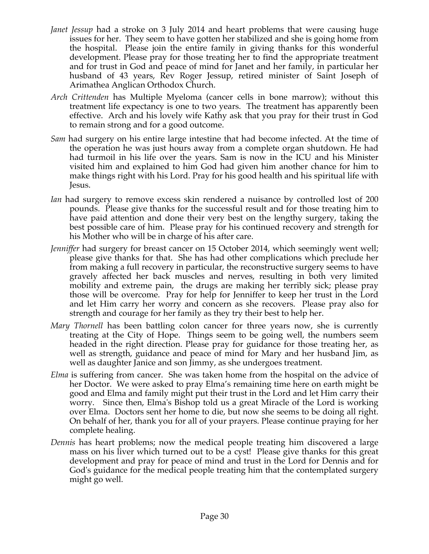- *Janet Jessup* had a stroke on 3 July 2014 and heart problems that were causing huge issues for her. They seem to have gotten her stabilized and she is going home from the hospital. Please join the entire family in giving thanks for this wonderful development. Please pray for those treating her to find the appropriate treatment and for trust in God and peace of mind for Janet and her family, in particular her husband of 43 years, Rev Roger Jessup, retired minister of Saint Joseph of Arimathea Anglican Orthodox Church.
- *Arch Crittenden* has Multiple Myeloma (cancer cells in bone marrow); without this treatment life expectancy is one to two years. The treatment has apparently been effective. Arch and his lovely wife Kathy ask that you pray for their trust in God to remain strong and for a good outcome.
- *Sam* had surgery on his entire large intestine that had become infected. At the time of the operation he was just hours away from a complete organ shutdown. He had had turmoil in his life over the years. Sam is now in the ICU and his Minister visited him and explained to him God had given him another chance for him to make things right with his Lord. Pray for his good health and his spiritual life with Jesus.
- *Ian* had surgery to remove excess skin rendered a nuisance by controlled lost of 200 pounds. Please give thanks for the successful result and for those treating him to have paid attention and done their very best on the lengthy surgery, taking the best possible care of him. Please pray for his continued recovery and strength for his Mother who will be in charge of his after care.
- *Jenniffer* had surgery for breast cancer on 15 October 2014, which seemingly went well; please give thanks for that. She has had other complications which preclude her from making a full recovery in particular, the reconstructive surgery seems to have gravely affected her back muscles and nerves, resulting in both very limited mobility and extreme pain, the drugs are making her terribly sick; please pray those will be overcome. Pray for help for Jenniffer to keep her trust in the Lord and let Him carry her worry and concern as she recovers. Please pray also for strength and courage for her family as they try their best to help her.
- *Mary Thornell* has been battling colon cancer for three years now, she is currently treating at the City of Hope. Things seem to be going well, the numbers seem headed in the right direction. Please pray for guidance for those treating her, as well as strength, guidance and peace of mind for Mary and her husband Jim, as well as daughter Janice and son Jimmy, as she undergoes treatment.
- *Elma* is suffering from cancer. She was taken home from the hospital on the advice of her Doctor. We were asked to pray Elma's remaining time here on earth might be good and Elma and family might put their trust in the Lord and let Him carry their worry. Since then, Elma's Bishop told us a great Miracle of the Lord is working over Elma. Doctors sent her home to die, but now she seems to be doing all right. On behalf of her, thank you for all of your prayers. Please continue praying for her complete healing.
- *Dennis* has heart problems; now the medical people treating him discovered a large mass on his liver which turned out to be a cyst! Please give thanks for this great development and pray for peace of mind and trust in the Lord for Dennis and for God's guidance for the medical people treating him that the contemplated surgery might go well.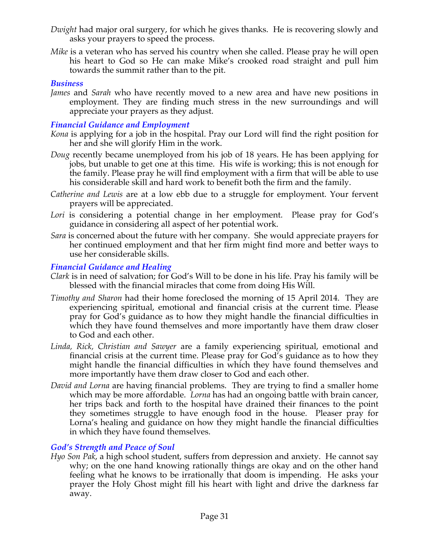- *Dwight* had major oral surgery, for which he gives thanks. He is recovering slowly and asks your prayers to speed the process.
- *Mike* is a veteran who has served his country when she called. Please pray he will open his heart to God so He can make Mike's crooked road straight and pull him towards the summit rather than to the pit.

### *Business*

*James* and *Sarah* who have recently moved to a new area and have new positions in employment. They are finding much stress in the new surroundings and will appreciate your prayers as they adjust.

# *Financial Guidance and Employment*

- *Kona* is applying for a job in the hospital. Pray our Lord will find the right position for her and she will glorify Him in the work.
- *Doug* recently became unemployed from his job of 18 years. He has been applying for jobs, but unable to get one at this time. His wife is working; this is not enough for the family. Please pray he will find employment with a firm that will be able to use his considerable skill and hard work to benefit both the firm and the family.
- *Catherine and Lewis* are at a low ebb due to a struggle for employment. Your fervent prayers will be appreciated.
- *Lori* is considering a potential change in her employment. Please pray for God's guidance in considering all aspect of her potential work.
- *Sara* is concerned about the future with her company. She would appreciate prayers for her continued employment and that her firm might find more and better ways to use her considerable skills.

### *Financial Guidance and Healing*

- *Clark* is in need of salvation; for God's Will to be done in his life. Pray his family will be blessed with the financial miracles that come from doing His Will.
- *Timothy and Sharon* had their home foreclosed the morning of 15 April 2014. They are experiencing spiritual, emotional and financial crisis at the current time. Please pray for God's guidance as to how they might handle the financial difficulties in which they have found themselves and more importantly have them draw closer to God and each other.
- *Linda, Rick, Christian and Sawyer* are a family experiencing spiritual, emotional and financial crisis at the current time. Please pray for God's guidance as to how they might handle the financial difficulties in which they have found themselves and more importantly have them draw closer to God and each other.
- *David and Lorna* are having financial problems. They are trying to find a smaller home which may be more affordable. *Lorna* has had an ongoing battle with brain cancer, her trips back and forth to the hospital have drained their finances to the point they sometimes struggle to have enough food in the house. Pleaser pray for Lorna's healing and guidance on how they might handle the financial difficulties in which they have found themselves.

### *God's Strength and Peace of Soul*

*Hyo Son Pak*, a high school student, suffers from depression and anxiety. He cannot say why; on the one hand knowing rationally things are okay and on the other hand feeling what he knows to be irrationally that doom is impending. He asks your prayer the Holy Ghost might fill his heart with light and drive the darkness far away.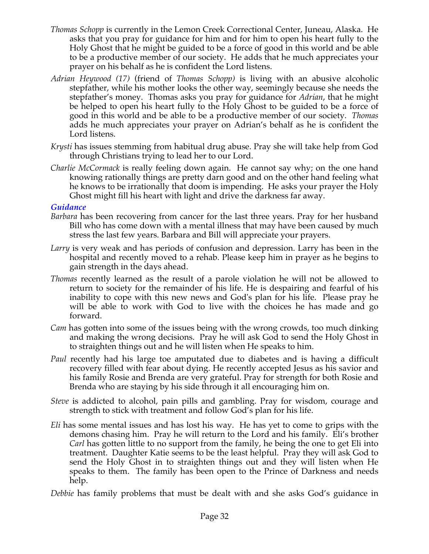- *Thomas Schopp* is currently in the Lemon Creek Correctional Center, Juneau, Alaska. He asks that you pray for guidance for him and for him to open his heart fully to the Holy Ghost that he might be guided to be a force of good in this world and be able to be a productive member of our society. He adds that he much appreciates your prayer on his behalf as he is confident the Lord listens.
- *Adrian Heywood (17)* (friend of *Thomas Schopp)* is living with an abusive alcoholic stepfather, while his mother looks the other way, seemingly because she needs the stepfather's money. Thomas asks you pray for guidance for *Adrian*, that he might be helped to open his heart fully to the Holy Ghost to be guided to be a force of good in this world and be able to be a productive member of our society. *Thomas*  adds he much appreciates your prayer on Adrian's behalf as he is confident the Lord listens.
- *Krysti* has issues stemming from habitual drug abuse. Pray she will take help from God through Christians trying to lead her to our Lord.
- *Charlie McCormack* is really feeling down again. He cannot say why; on the one hand knowing rationally things are pretty darn good and on the other hand feeling what he knows to be irrationally that doom is impending. He asks your prayer the Holy Ghost might fill his heart with light and drive the darkness far away.

### *Guidance*

- *Barbara* has been recovering from cancer for the last three years. Pray for her husband Bill who has come down with a mental illness that may have been caused by much stress the last few years. Barbara and Bill will appreciate your prayers.
- *Larry* is very weak and has periods of confusion and depression. Larry has been in the hospital and recently moved to a rehab. Please keep him in prayer as he begins to gain strength in the days ahead.
- *Thomas* recently learned as the result of a parole violation he will not be allowed to return to society for the remainder of his life. He is despairing and fearful of his inability to cope with this new news and God's plan for his life. Please pray he will be able to work with God to live with the choices he has made and go forward.
- *Cam* has gotten into some of the issues being with the wrong crowds, too much dinking and making the wrong decisions. Pray he will ask God to send the Holy Ghost in to straighten things out and he will listen when He speaks to him.
- *Paul* recently had his large toe amputated due to diabetes and is having a difficult recovery filled with fear about dying. He recently accepted Jesus as his savior and his family Rosie and Brenda are very grateful. Pray for strength for both Rosie and Brenda who are staying by his side through it all encouraging him on.
- *Steve* is addicted to alcohol, pain pills and gambling. Pray for wisdom, courage and strength to stick with treatment and follow God's plan for his life.
- *Eli* has some mental issues and has lost his way. He has yet to come to grips with the demons chasing him. Pray he will return to the Lord and his family. Eli's brother *Carl* has gotten little to no support from the family, he being the one to get Eli into treatment. Daughter Katie seems to be the least helpful. Pray they will ask God to send the Holy Ghost in to straighten things out and they will listen when He speaks to them. The family has been open to the Prince of Darkness and needs help.
- *Debbie* has family problems that must be dealt with and she asks God's guidance in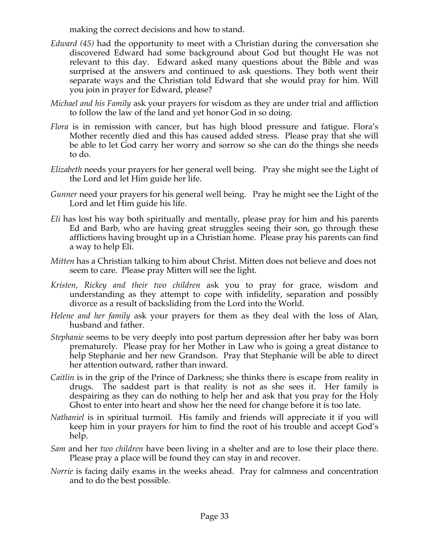making the correct decisions and how to stand.

- *Edward (45)* had the opportunity to meet with a Christian during the conversation she discovered Edward had some background about God but thought He was not relevant to this day. Edward asked many questions about the Bible and was surprised at the answers and continued to ask questions. They both went their separate ways and the Christian told Edward that she would pray for him. Will you join in prayer for Edward, please?
- *Michael and his Family* ask your prayers for wisdom as they are under trial and affliction to follow the law of the land and yet honor God in so doing.
- *Flora* is in remission with cancer, but has high blood pressure and fatigue. Flora's Mother recently died and this has caused added stress. Please pray that she will be able to let God carry her worry and sorrow so she can do the things she needs to do.
- *Elizabeth* needs your prayers for her general well being. Pray she might see the Light of the Lord and let Him guide her life.
- *Gunner* need your prayers for his general well being. Pray he might see the Light of the Lord and let Him guide his life.
- *Eli* has lost his way both spiritually and mentally, please pray for him and his parents Ed and Barb, who are having great struggles seeing their son, go through these afflictions having brought up in a Christian home. Please pray his parents can find a way to help Eli.
- *Mitten* has a Christian talking to him about Christ. Mitten does not believe and does not seem to care. Please pray Mitten will see the light.
- *Kristen, Rickey and their two children* ask you to pray for grace, wisdom and understanding as they attempt to cope with infidelity, separation and possibly divorce as a result of backsliding from the Lord into the World.
- *Helene and her family* ask your prayers for them as they deal with the loss of Alan, husband and father.
- *Stephanie* seems to be very deeply into post partum depression after her baby was born prematurely. Please pray for her Mother in Law who is going a great distance to help Stephanie and her new Grandson. Pray that Stephanie will be able to direct her attention outward, rather than inward.
- *Caitlin* is in the grip of the Prince of Darkness; she thinks there is escape from reality in drugs. The saddest part is that reality is not as she sees it. Her family is despairing as they can do nothing to help her and ask that you pray for the Holy Ghost to enter into heart and show her the need for change before it is too late.
- *Nathaniel* is in spiritual turmoil. His family and friends will appreciate it if you will keep him in your prayers for him to find the root of his trouble and accept God's help.
- *Sam* and her *two children* have been living in a shelter and are to lose their place there. Please pray a place will be found they can stay in and recover.
- *Norrie* is facing daily exams in the weeks ahead. Pray for calmness and concentration and to do the best possible.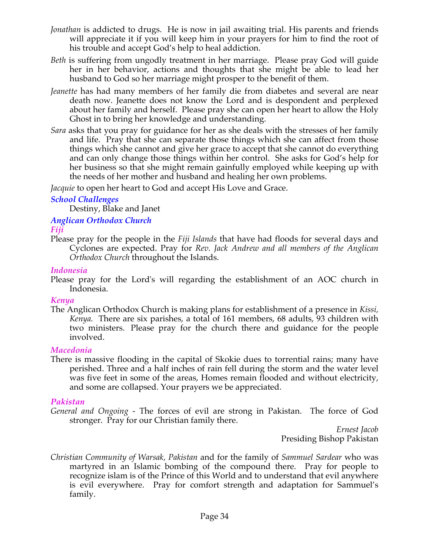- *Jonathan* is addicted to drugs. He is now in jail awaiting trial. His parents and friends will appreciate it if you will keep him in your prayers for him to find the root of his trouble and accept God's help to heal addiction.
- *Beth* is suffering from ungodly treatment in her marriage. Please pray God will guide her in her behavior, actions and thoughts that she might be able to lead her husband to God so her marriage might prosper to the benefit of them.
- *Jeanette* has had many members of her family die from diabetes and several are near death now. Jeanette does not know the Lord and is despondent and perplexed about her family and herself. Please pray she can open her heart to allow the Holy Ghost in to bring her knowledge and understanding.
- *Sara* asks that you pray for guidance for her as she deals with the stresses of her family and life. Pray that she can separate those things which she can affect from those things which she cannot and give her grace to accept that she cannot do everything and can only change those things within her control. She asks for God's help for her business so that she might remain gainfully employed while keeping up with the needs of her mother and husband and healing her own problems.

*Jacquie* to open her heart to God and accept His Love and Grace.

### *School Challenges*

Destiny, Blake and Janet

# *Anglican Orthodox Church*

### *Fiji*

Please pray for the people in the *Fiji Islands* that have had floods for several days and Cyclones are expected. Pray for *Rev. Jack Andrew and all members of the Anglican Orthodox Church* throughout the Islands.

### *Indonesia*

Please pray for the Lord's will regarding the establishment of an AOC church in Indonesia.

# *Kenya*

The Anglican Orthodox Church is making plans for establishment of a presence in *Kissi, Kenya.* There are six parishes, a total of 161 members, 68 adults, 93 children with two ministers. Please pray for the church there and guidance for the people involved.

### *Macedonia*

There is massive flooding in the capital of Skokie dues to torrential rains; many have perished. Three and a half inches of rain fell during the storm and the water level was five feet in some of the areas, Homes remain flooded and without electricity, and some are collapsed. Your prayers we be appreciated.

# *Pakistan*

*General and Ongoing -* The forces of evil are strong in Pakistan. The force of God stronger. Pray for our Christian family there.

*Ernest Jacob* Presiding Bishop Pakistan

*Christian Community of Warsak, Pakistan* and for the family of *Sammuel Sardear* who was martyred in an Islamic bombing of the compound there. Pray for people to recognize islam is of the Prince of this World and to understand that evil anywhere is evil everywhere. Pray for comfort strength and adaptation for Sammuel's family.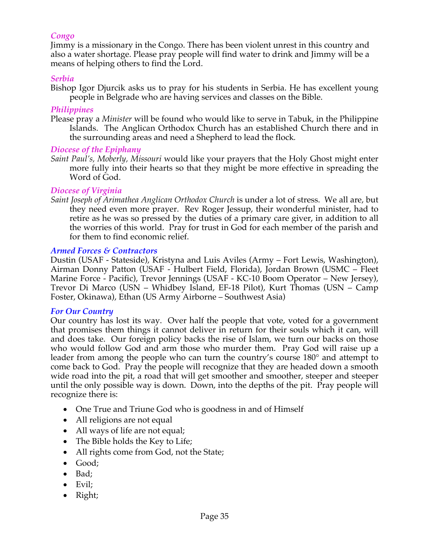### *Congo*

Jimmy is a missionary in the Congo. There has been violent unrest in this country and also a water shortage. Please pray people will find water to drink and Jimmy will be a means of helping others to find the Lord.

#### *Serbia*

Bishop Igor Djurcik asks us to pray for his students in Serbia. He has excellent young people in Belgrade who are having services and classes on the Bible.

#### *Philippines*

Please pray a *Minister* will be found who would like to serve in Tabuk, in the Philippine Islands. The Anglican Orthodox Church has an established Church there and in the surrounding areas and need a Shepherd to lead the flock*.*

#### *Diocese of the Epiphany*

*Saint Paul's, Moberly, Missouri* would like your prayers that the Holy Ghost might enter more fully into their hearts so that they might be more effective in spreading the Word of God.

#### *Diocese of Virginia*

*Saint Joseph of Arimathea Anglican Orthodox Church* is under a lot of stress. We all are, but they need even more prayer. Rev Roger Jessup, their wonderful minister, had to retire as he was so pressed by the duties of a primary care giver, in addition to all the worries of this world. Pray for trust in God for each member of the parish and for them to find economic relief.

#### *Armed Forces & Contractors*

Dustin (USAF - Stateside), Kristyna and Luis Aviles (Army – Fort Lewis, Washington), Airman Donny Patton (USAF - Hulbert Field, Florida), Jordan Brown (USMC – Fleet Marine Force - Pacific), Trevor Jennings (USAF - KC-10 Boom Operator – New Jersey), Trevor Di Marco (USN – Whidbey Island, EF-18 Pilot), Kurt Thomas (USN – Camp Foster, Okinawa), Ethan (US Army Airborne – Southwest Asia)

#### *For Our Country*

Our country has lost its way. Over half the people that vote, voted for a government that promises them things it cannot deliver in return for their souls which it can, will and does take. Our foreign policy backs the rise of Islam, we turn our backs on those who would follow God and arm those who murder them. Pray God will raise up a leader from among the people who can turn the country's course 180° and attempt to come back to God. Pray the people will recognize that they are headed down a smooth wide road into the pit, a road that will get smoother and smoother, steeper and steeper until the only possible way is down. Down, into the depths of the pit. Pray people will recognize there is:

- One True and Triune God who is goodness in and of Himself
- All religions are not equal
- All ways of life are not equal;
- The Bible holds the Key to Life;
- All rights come from God, not the State;
- Good;
- Bad;
- Evil;
- Right;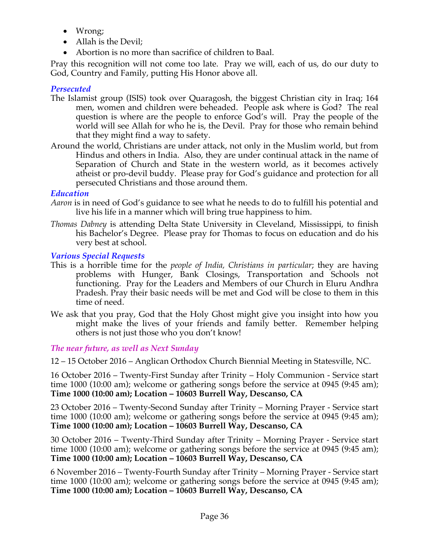- Wrong;
- Allah is the Devil;
- Abortion is no more than sacrifice of children to Baal.

Pray this recognition will not come too late. Pray we will, each of us, do our duty to God, Country and Family, putting His Honor above all.

# *Persecuted*

- The Islamist group (ISIS) took over Quaragosh, the biggest Christian city in Iraq; 164 men, women and children were beheaded. People ask where is God? The real question is where are the people to enforce God's will. Pray the people of the world will see Allah for who he is, the Devil. Pray for those who remain behind that they might find a way to safety.
- Around the world, Christians are under attack, not only in the Muslim world, but from Hindus and others in India. Also, they are under continual attack in the name of Separation of Church and State in the western world, as it becomes actively atheist or pro-devil buddy. Please pray for God's guidance and protection for all persecuted Christians and those around them.

# *Education*

- *Aaron* is in need of God's guidance to see what he needs to do to fulfill his potential and live his life in a manner which will bring true happiness to him.
- *Thomas Dabney* is attending Delta State University in Cleveland, Mississippi, to finish his Bachelor's Degree. Please pray for Thomas to focus on education and do his very best at school.

# *Various Special Requests*

- This is a horrible time for the *people of India, Christians in particular*; they are having problems with Hunger, Bank Closings, Transportation and Schools not functioning. Pray for the Leaders and Members of our Church in Eluru Andhra Pradesh. Pray their basic needs will be met and God will be close to them in this time of need.
- We ask that you pray, God that the Holy Ghost might give you insight into how you might make the lives of your friends and family better. Remember helping others is not just those who you don't know!

# *The near future, as well as Next Sunday*

12 – 15 October 2016 – Anglican Orthodox Church Biennial Meeting in Statesville, NC.

16 October 2016 – Twenty-First Sunday after Trinity – Holy Communion - Service start time 1000 (10:00 am); welcome or gathering songs before the service at 0945 (9:45 am); **Time 1000 (10:00 am); Location – 10603 Burrell Way, Descanso, CA**

23 October 2016 – Twenty-Second Sunday after Trinity – Morning Prayer - Service start time 1000 (10:00 am); welcome or gathering songs before the service at 0945 (9:45 am); **Time 1000 (10:00 am); Location – 10603 Burrell Way, Descanso, CA**

30 October 2016 – Twenty-Third Sunday after Trinity – Morning Prayer - Service start time 1000 (10:00 am); welcome or gathering songs before the service at 0945 (9:45 am); **Time 1000 (10:00 am); Location – 10603 Burrell Way, Descanso, CA**

6 November 2016 – Twenty-Fourth Sunday after Trinity – Morning Prayer - Service start time 1000 (10:00 am); welcome or gathering songs before the service at 0945 (9:45 am); **Time 1000 (10:00 am); Location – 10603 Burrell Way, Descanso, CA**